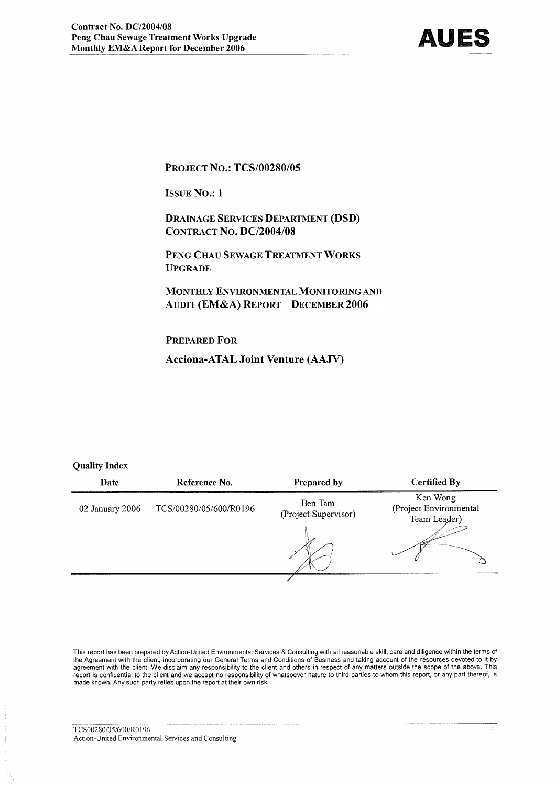#### **PROJECT NO.: TCS/00280/05**

**ISSUE NO.: 1** 

**DRAINAGE SERVICES DEPARTMENT (DSD) CONTRACT NO. DC/2004/08** 

PENG CHAU SEWAGE TREATMENT WORKS **UPGRADE** 

MONTHLY ENVIRONMENTAL MONITORING AND **AUDIT (EM&A) REPORT - DECEMBER 2006** 

#### **PREPARED FOR**

**Acciona-ATAL Joint Venture (AAJV)** 

#### **Quality Index**

| Date            | Reference No.          | Prepared by                     | <b>Certified By</b>                                |
|-----------------|------------------------|---------------------------------|----------------------------------------------------|
| 02 January 2006 | TCS/00280/05/600/R0196 | Ben Tam<br>(Project Supervisor) | Ken Wong<br>(Project Environmental<br>Team Leader) |
|                 |                        |                                 |                                                    |

This report has been prepared by Action-United Environmental Services & Consulting with all reasonable skill, care and diligence within the terms of the Agreement with the client, incorporating our General Terms and Conditions of Business and taking account of the resources devoted to it by agreement with the client. We disclaim any responsibility to the client and others in respect of any matters outside the scope of the above. This report is confidential to the client and we accept no responsibility of whatsoever nature to third parties to whom this report, or any part thereof, is made known. Any such party relies upon the report at their own risk.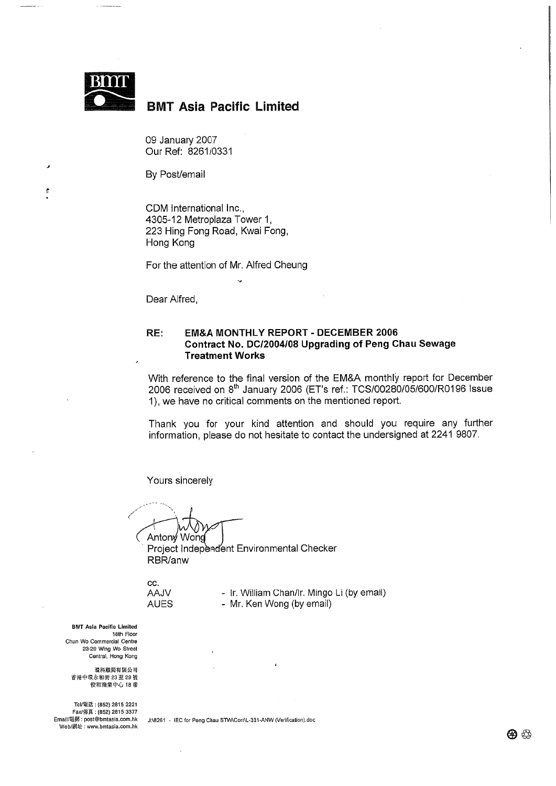

 $\epsilon$ 

## **BMT Asia Pacific Limited**

09 January 2007 Our Ref: 8261/0331

By Post/email

CDM International Inc., 4305-12 Metroplaza Tower 1, 223 Hing Fong Road, Kwai Fong, Hong Kong

For the attention of Mr. Alfred Cheung

Dear Alfred.

#### RE: **EM&A MONTHLY REPORT - DECEMBER 2006** Contract No. DC/2004/08 Upgrading of Peng Chau Sewage **Treatment Works**

With reference to the final version of the EM&A monthly report for December 2006 received on 8<sup>th</sup> January 2006 (ET's ref.: TCS/00280/05/600/R0196 Issue 1), we have no critical comments on the mentioned report.

Thank you for your kind attention and should you require any further information, please do not hesitate to contact the undersigned at 2241 9807.

Yours sincerely

Wond Anton<sub>v</sub> Project Independent Environmental Checker RBR/anw

CC. **AAJV AUES** 

- Ir. William Chan/lr. Mingo Li (by email) - Mr. Ken Wong (by email)

**BMT Asia Pacific Limited** 18th Floor Chun Wo Commercial Centre 23-29 Wing Wo Street Central, Hong Kong

環科顧問有限公司 香港中環永和街 23至 29號<br>俊和商業中心 18 樓

Tel/電話: (852) 2815 2221 Fax/傳真: (852) 2815 3377 Email/電郵: post@bmtasia.com.hk Web/網址: www.bmtasia.com.hk

J:\8261 - IEC for Peng Chau STW\Corr\L-331-ANW (Verification).doc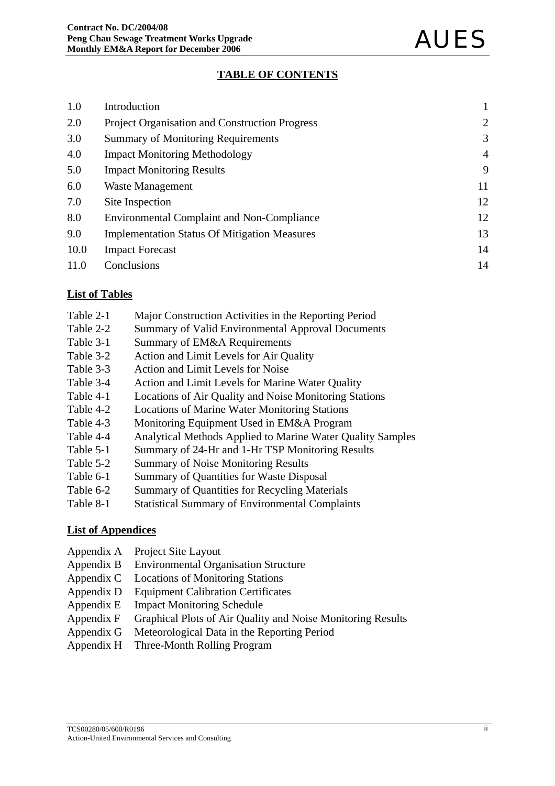## **TABLE OF CONTENTS**

| 1.0  | Introduction                                          |                |
|------|-------------------------------------------------------|----------------|
| 2.0  | <b>Project Organisation and Construction Progress</b> | $\overline{2}$ |
| 3.0  | <b>Summary of Monitoring Requirements</b>             | 3              |
| 4.0  | <b>Impact Monitoring Methodology</b>                  | $\overline{4}$ |
| 5.0  | <b>Impact Monitoring Results</b>                      | 9              |
| 6.0  | Waste Management                                      | 11             |
| 7.0  | Site Inspection                                       | 12             |
| 8.0  | <b>Environmental Complaint and Non-Compliance</b>     | 12             |
| 9.0  | <b>Implementation Status Of Mitigation Measures</b>   | 13             |
| 10.0 | <b>Impact Forecast</b>                                | 14             |
| 11.0 | Conclusions                                           | 14             |

### **List of Tables**

- Table 2-1 Major Construction Activities in the Reporting Period
- Table 2-2 Summary of Valid Environmental Approval Documents
- Table 3-1 Summary of EM&A Requirements
- Table 3-2 Action and Limit Levels for Air Quality
- Table 3-3 Action and Limit Levels for Noise
- Table 3-4 Action and Limit Levels for Marine Water Quality
- Table 4-1 Locations of Air Quality and Noise Monitoring Stations
- Table 4-2 Locations of Marine Water Monitoring Stations
- Table 4-3 Monitoring Equipment Used in EM&A Program
- Table 4-4 Analytical Methods Applied to Marine Water Quality Samples
- Table 5-1 Summary of 24-Hr and 1-Hr TSP Monitoring Results
- Table 5-2 Summary of Noise Monitoring Results
- Table 6-1 Summary of Quantities for Waste Disposal
- Table 6-2 Summary of Quantities for Recycling Materials
- Table 8-1 Statistical Summary of Environmental Complaints

#### **List of Appendices**

- Appendix A Project Site Layout
- Appendix B Environmental Organisation Structure
- Appendix C Locations of Monitoring Stations
- Appendix D Equipment Calibration Certificates
- Appendix E Impact Monitoring Schedule
- Appendix F Graphical Plots of Air Quality and Noise Monitoring Results
- Appendix G Meteorological Data in the Reporting Period
- Appendix H Three-Month Rolling Program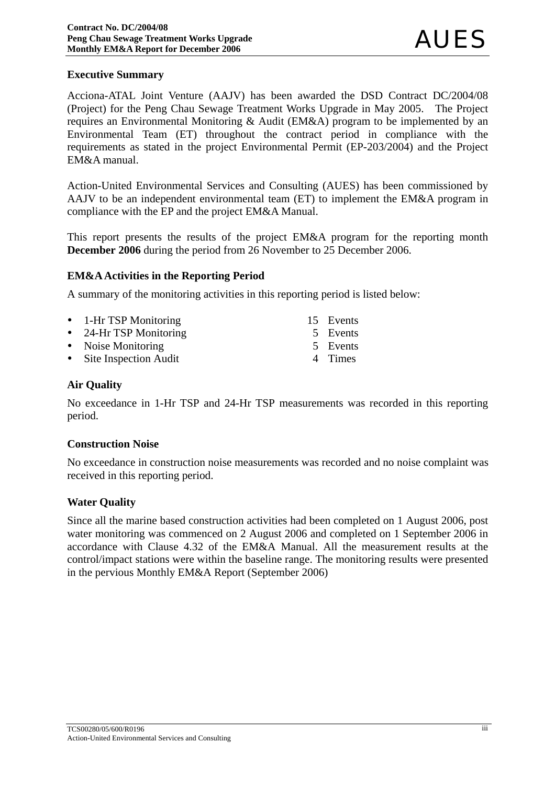## **Executive Summary**

Acciona-ATAL Joint Venture (AAJV) has been awarded the DSD Contract DC/2004/08 (Project) for the Peng Chau Sewage Treatment Works Upgrade in May 2005. The Project requires an Environmental Monitoring & Audit (EM&A) program to be implemented by an Environmental Team (ET) throughout the contract period in compliance with the requirements as stated in the project Environmental Permit (EP-203/2004) and the Project EM&A manual.

Action-United Environmental Services and Consulting (AUES) has been commissioned by AAJV to be an independent environmental team (ET) to implement the EM&A program in compliance with the EP and the project EM&A Manual.

This report presents the results of the project EM&A program for the reporting month **December 2006** during the period from 26 November to 25 December 2006.

### **EM&A Activities in the Reporting Period**

A summary of the monitoring activities in this reporting period is listed below:

| • 1-Hr TSP Monitoring   | 15 Events |
|-------------------------|-----------|
| • 24-Hr TSP Monitoring  | 5 Events  |
| • Noise Monitoring      | 5 Events  |
| • Site Inspection Audit | 4 Times   |

### **Air Quality**

No exceedance in 1-Hr TSP and 24-Hr TSP measurements was recorded in this reporting period.

#### **Construction Noise**

No exceedance in construction noise measurements was recorded and no noise complaint was received in this reporting period.

#### **Water Quality**

Since all the marine based construction activities had been completed on 1 August 2006, post water monitoring was commenced on 2 August 2006 and completed on 1 September 2006 in accordance with Clause 4.32 of the EM&A Manual. All the measurement results at the control/impact stations were within the baseline range. The monitoring results were presented in the pervious Monthly EM&A Report (September 2006)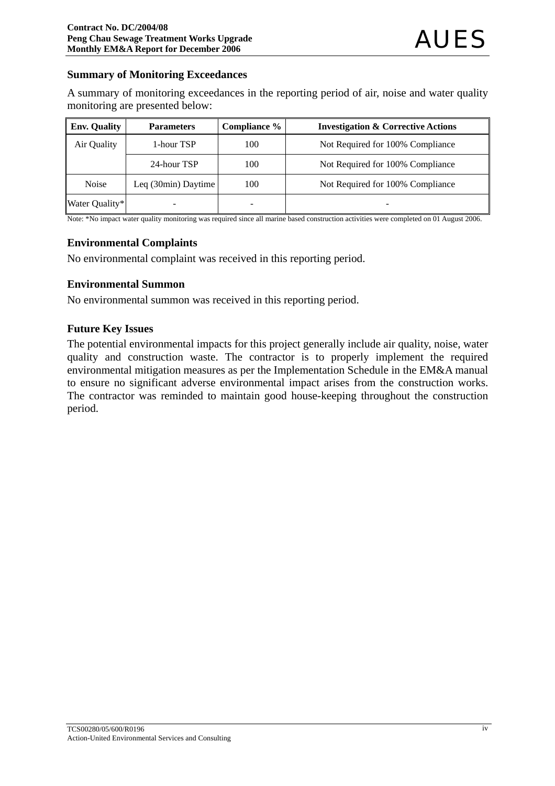### **Summary of Monitoring Exceedances**

A summary of monitoring exceedances in the reporting period of air, noise and water quality monitoring are presented below:

| <b>Env. Quality</b> | <b>Parameters</b>   | Compliance % | <b>Investigation &amp; Corrective Actions</b> |
|---------------------|---------------------|--------------|-----------------------------------------------|
| Air Quality         | 1-hour TSP          | 100          | Not Required for 100% Compliance              |
|                     | 24-hour TSP         | 100          | Not Required for 100% Compliance              |
| <b>Noise</b>        | Leq (30min) Daytime | 100          | Not Required for 100% Compliance              |
| Water Quality*      |                     |              |                                               |

Note: \*No impact water quality monitoring was required since all marine based construction activities were completed on 01 August 2006.

### **Environmental Complaints**

No environmental complaint was received in this reporting period.

## **Environmental Summon**

No environmental summon was received in this reporting period.

### **Future Key Issues**

The potential environmental impacts for this project generally include air quality, noise, water quality and construction waste. The contractor is to properly implement the required environmental mitigation measures as per the Implementation Schedule in the EM&A manual to ensure no significant adverse environmental impact arises from the construction works. The contractor was reminded to maintain good house-keeping throughout the construction period.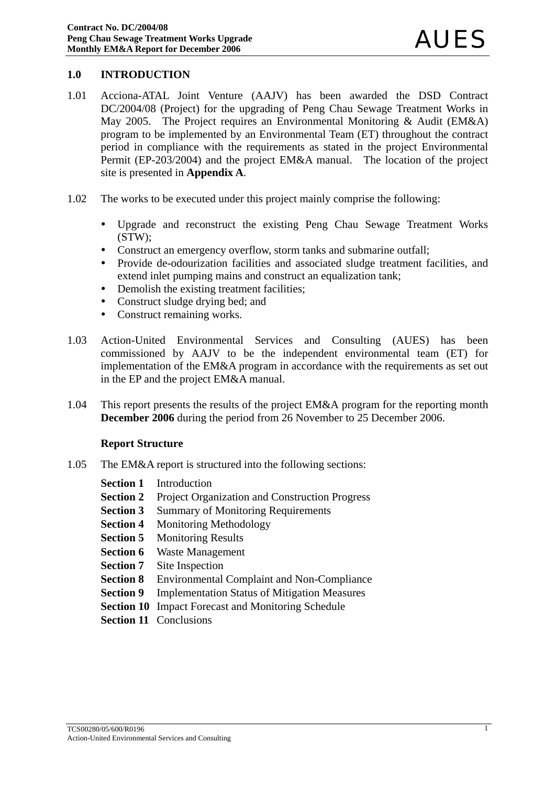### **1.0 INTRODUCTION**

- 1.01 Acciona-ATAL Joint Venture (AAJV) has been awarded the DSD Contract DC/2004/08 (Project) for the upgrading of Peng Chau Sewage Treatment Works in May 2005. The Project requires an Environmental Monitoring & Audit (EM&A) program to be implemented by an Environmental Team (ET) throughout the contract period in compliance with the requirements as stated in the project Environmental Permit (EP-203/2004) and the project EM&A manual. The location of the project site is presented in **Appendix A**.
- 1.02 The works to be executed under this project mainly comprise the following:
	- Upgrade and reconstruct the existing Peng Chau Sewage Treatment Works (STW);
	- Construct an emergency overflow, storm tanks and submarine outfall;
	- Provide de-odourization facilities and associated sludge treatment facilities, and extend inlet pumping mains and construct an equalization tank;
	- Demolish the existing treatment facilities;
	- Construct sludge drying bed; and
	- Construct remaining works.
- 1.03 Action-United Environmental Services and Consulting (AUES) has been commissioned by AAJV to be the independent environmental team (ET) for implementation of the EM&A program in accordance with the requirements as set out in the EP and the project EM&A manual.
- 1.04 This report presents the results of the project EM&A program for the reporting month **December 2006** during the period from 26 November to 25 December 2006.

#### **Report Structure**

- 1.05 The EM&A report is structured into the following sections:
	- **Section 1** Introduction
	- **Section 2** Project Organization and Construction Progress
	- **Section 3** Summary of Monitoring Requirements
	- **Section 4** Monitoring Methodology
	- **Section 5** Monitoring Results
	- **Section 6** Waste Management
	- **Section 7** Site Inspection
	- **Section 8** Environmental Complaint and Non-Compliance
	- **Section 9** Implementation Status of Mitigation Measures
	- **Section 10** Impact Forecast and Monitoring Schedule
	- **Section 11 Conclusions**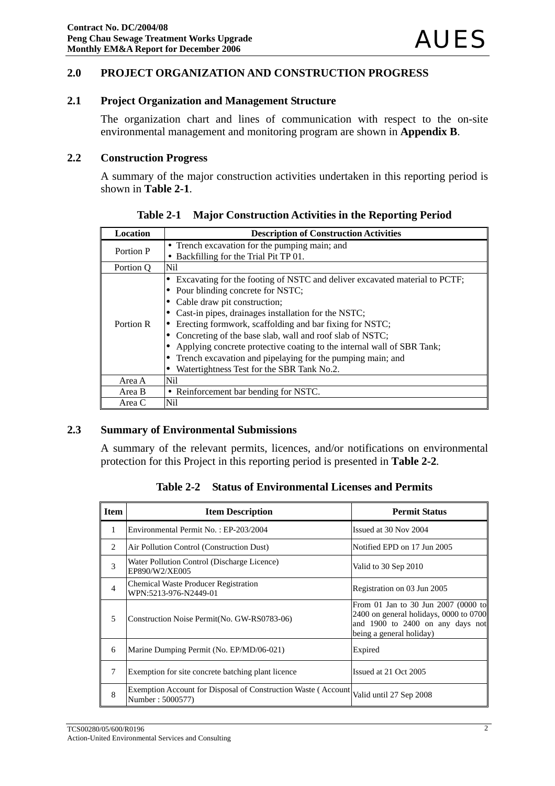### **2.0 PROJECT ORGANIZATION AND CONSTRUCTION PROGRESS**

### **2.1 Project Organization and Management Structure**

The organization chart and lines of communication with respect to the on-site environmental management and monitoring program are shown in **Appendix B**.

#### **2.2 Construction Progress**

A summary of the major construction activities undertaken in this reporting period is shown in **Table 2-1**.

| Location  | <b>Description of Construction Activities</b>                              |
|-----------|----------------------------------------------------------------------------|
| Portion P | • Trench excavation for the pumping main; and                              |
|           | • Backfilling for the Trial Pit TP 01.                                     |
| Portion O | Nil                                                                        |
|           | Excavating for the footing of NSTC and deliver excavated material to PCTF; |
|           | Pour blinding concrete for NSTC;                                           |
|           | Cable draw pit construction;                                               |
|           | Cast-in pipes, drainages installation for the NSTC;                        |
| Portion R | Erecting formwork, scaffolding and bar fixing for NSTC;                    |
|           | Concreting of the base slab, wall and roof slab of NSTC;                   |
|           | Applying concrete protective coating to the internal wall of SBR Tank;     |
|           | Trench excavation and pipelaying for the pumping main; and                 |
|           | Watertightness Test for the SBR Tank No.2.                                 |
| Area A    | Nil                                                                        |
| Area B    | • Reinforcement bar bending for NSTC.                                      |
| Area C    | Nil                                                                        |

**Table 2-1 Major Construction Activities in the Reporting Period**

#### **2.3 Summary of Environmental Submissions**

A summary of the relevant permits, licences, and/or notifications on environmental protection for this Project in this reporting period is presented in **Table 2-2***.* 

| Item | <b>Item Description</b>               | <b>Permit Status</b>  |
|------|---------------------------------------|-----------------------|
|      | Environmental Permit No.: EP-203/2004 | Issued at 30 Nov 2004 |
|      |                                       |                       |

**Table 2-2 Status of Environmental Licenses and Permits** 

|                | Environmental Permit No.: EP-203/2004                                                                     | Issued at 30 Nov 2004                                                                                                                           |
|----------------|-----------------------------------------------------------------------------------------------------------|-------------------------------------------------------------------------------------------------------------------------------------------------|
| 2              | Air Pollution Control (Construction Dust)                                                                 | Notified EPD on 17 Jun 2005                                                                                                                     |
| 3              | Water Pollution Control (Discharge Licence)<br>EP890/W2/XE005                                             | Valid to 30 Sep 2010                                                                                                                            |
| $\overline{4}$ | <b>Chemical Waste Producer Registration</b><br>WPN:5213-976-N2449-01                                      | Registration on 03 Jun 2005                                                                                                                     |
| 5              | Construction Noise Permit (No. GW-RS0783-06)                                                              | From 01 Jan to 30 Jun 2007 (0000 to<br>$2400$ on general holidays, 0000 to 0700<br>and 1900 to 2400 on any days not<br>being a general holiday) |
| 6              | Marine Dumping Permit (No. EP/MD/06-021)                                                                  | Expired                                                                                                                                         |
| 7              | Exemption for site concrete batching plant licence                                                        | Issued at 21 Oct 2005                                                                                                                           |
| 8              | Exemption Account for Disposal of Construction Waste (Account Valid until 27 Sep 2008<br>Number: 5000577) |                                                                                                                                                 |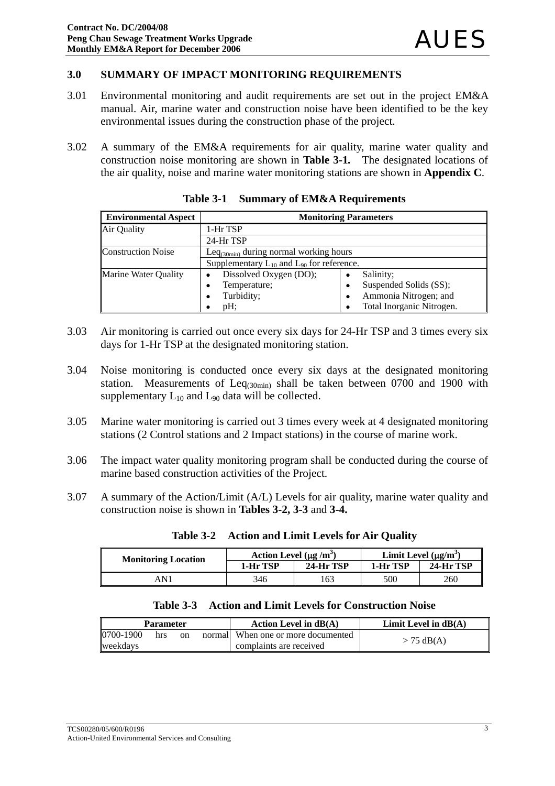### **3.0 SUMMARY OF IMPACT MONITORING REQUIREMENTS**

- 3.01 Environmental monitoring and audit requirements are set out in the project EM&A manual. Air, marine water and construction noise have been identified to be the key environmental issues during the construction phase of the project.
- 3.02 A summary of the EM&A requirements for air quality, marine water quality and construction noise monitoring are shown in **Table 3-1***.* The designated locations of the air quality, noise and marine water monitoring stations are shown in **Appendix C**.

| <b>Environmental Aspect</b> | <b>Monitoring Parameters</b>                       |                             |  |
|-----------------------------|----------------------------------------------------|-----------------------------|--|
| Air Quality                 | 1-Hr TSP                                           |                             |  |
|                             | 24-Hr TSP                                          |                             |  |
| <b>Construction Noise</b>   | Le $q_{(30min)}$ during normal working hours       |                             |  |
|                             | Supplementary $L_{10}$ and $L_{90}$ for reference. |                             |  |
| <b>Marine Water Quality</b> | Dissolved Oxygen (DO);                             | Salinity;<br>$\bullet$      |  |
|                             | Temperature;<br>٠                                  | Suspended Solids (SS);<br>٠ |  |
|                             | Turbidity;                                         | Ammonia Nitrogen; and<br>٠  |  |
|                             | $pH$ :                                             | Total Inorganic Nitrogen.   |  |

**Table 3-1 Summary of EM&A Requirements**

- 3.03 Air monitoring is carried out once every six days for 24-Hr TSP and 3 times every six days for 1-Hr TSP at the designated monitoring station.
- 3.04 Noise monitoring is conducted once every six days at the designated monitoring station. Measurements of  $Leq<sub>(30min)</sub>$  shall be taken between 0700 and 1900 with supplementary  $L_{10}$  and  $L_{90}$  data will be collected.
- 3.05 Marine water monitoring is carried out 3 times every week at 4 designated monitoring stations (2 Control stations and 2 Impact stations) in the course of marine work.
- 3.06 The impact water quality monitoring program shall be conducted during the course of marine based construction activities of the Project.
- 3.07 A summary of the Action/Limit (A/L) Levels for air quality, marine water quality and construction noise is shown in **Tables 3-2, 3-3** and **3-4.**

| <b>Monitoring Location</b> | Action Level $(\mu g/m^3)$ |           | Limit Level $(\mu g/m^3)$ |           |
|----------------------------|----------------------------|-----------|---------------------------|-----------|
|                            | 1-Hr TSP                   | 24-Hr TSP | 1-Hr TSP                  | 24-Hr TSP |
| 4 N 1                      | 346                        | 163       | 500                       | 260       |

**Table 3-2 Action and Limit Levels for Air Quality**

|  |  |  | Table 3-3 Action and Limit Levels for Construction Noise |  |
|--|--|--|----------------------------------------------------------|--|
|--|--|--|----------------------------------------------------------|--|

| <b>Parameter</b> |     |    | Action Level in $dB(A)$             | Limit Level in $dB(A)$ |
|------------------|-----|----|-------------------------------------|------------------------|
| 0700-1900        | hrs | on | normall When one or more documented | $> 75$ dB(A)           |
| weekdavs         |     |    | complaints are received             |                        |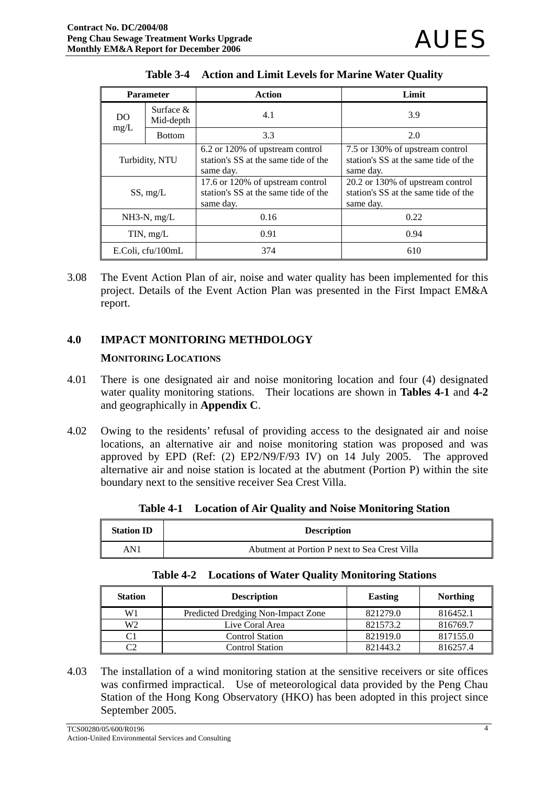| <b>Parameter</b>                            |                   | Action                                                                                | Limit                                                                                 |
|---------------------------------------------|-------------------|---------------------------------------------------------------------------------------|---------------------------------------------------------------------------------------|
| Surface $\&$<br>D <sub>O</sub><br>Mid-depth |                   | 4.1                                                                                   | 3.9                                                                                   |
| mg/L                                        | <b>Bottom</b>     | 3.3                                                                                   | 2.0                                                                                   |
| Turbidity, NTU                              |                   | 6.2 or 120% of upstream control<br>station's SS at the same tide of the<br>same day.  | 7.5 or 130% of upstream control<br>station's SS at the same tide of the<br>same day.  |
| SS, mg/L                                    |                   | 17.6 or 120% of upstream control<br>station's SS at the same tide of the<br>same day. | 20.2 or 130% of upstream control<br>station's SS at the same tide of the<br>same day. |
| $NH3-N$ , mg/L                              |                   | 0.16                                                                                  | 0.22                                                                                  |
| TIN, mg/L                                   |                   | 0.91                                                                                  | 0.94                                                                                  |
|                                             | E.Coli, cfu/100mL | 374                                                                                   | 610                                                                                   |

|  | Table 3-4 Action and Limit Levels for Marine Water Quality |  |  |
|--|------------------------------------------------------------|--|--|
|--|------------------------------------------------------------|--|--|

3.08 The Event Action Plan of air, noise and water quality has been implemented for this project. Details of the Event Action Plan was presented in the First Impact EM&A report.

## **4.0 IMPACT MONITORING METHDOLOGY**

### **MONITORING LOCATIONS**

- 4.01 There is one designated air and noise monitoring location and four (4) designated water quality monitoring stations. Their locations are shown in **Tables 4-1** and **4-2** and geographically in **Appendix C**.
- 4.02 Owing to the residents' refusal of providing access to the designated air and noise locations, an alternative air and noise monitoring station was proposed and was approved by EPD (Ref: (2) EP2/N9/F/93 IV) on 14 July 2005. The approved alternative air and noise station is located at the abutment (Portion P) within the site boundary next to the sensitive receiver Sea Crest Villa.

| <b>Station ID</b> | <b>Description</b>                            |
|-------------------|-----------------------------------------------|
| AN1               | Abutment at Portion P next to Sea Crest Villa |

|  |  |  |  | Table 4-1 Location of Air Quality and Noise Monitoring Station |  |
|--|--|--|--|----------------------------------------------------------------|--|
|--|--|--|--|----------------------------------------------------------------|--|

|  | <b>Table 4-2 Locations of Water Quality Monitoring Stations</b> |  |  |  |
|--|-----------------------------------------------------------------|--|--|--|
|--|-----------------------------------------------------------------|--|--|--|

| <b>Station</b> | <b>Description</b>                 | <b>Easting</b> | <b>Northing</b> |
|----------------|------------------------------------|----------------|-----------------|
| W1             | Predicted Dredging Non-Impact Zone | 821279.0       | 816452.1        |
| W2             | Live Coral Area                    | 821573.2       | 816769.7        |
| C1             | <b>Control Station</b>             | 821919.0       | 817155.0        |
| C2             | Control Station                    | 821443.2       | 816257.4        |

4.03 The installation of a wind monitoring station at the sensitive receivers or site offices was confirmed impractical. Use of meteorological data provided by the Peng Chau Station of the Hong Kong Observatory (HKO) has been adopted in this project since September 2005.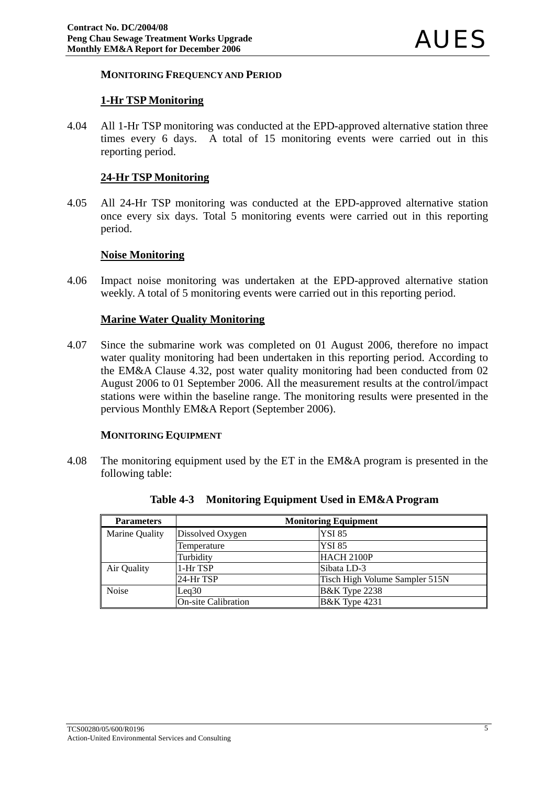#### **MONITORING FREQUENCY AND PERIOD**

#### **1-Hr TSP Monitoring**

4.04 All 1-Hr TSP monitoring was conducted at the EPD-approved alternative station three times every 6 days. A total of 15 monitoring events were carried out in this reporting period.

### **24-Hr TSP Monitoring**

4.05 All 24-Hr TSP monitoring was conducted at the EPD-approved alternative station once every six days. Total 5 monitoring events were carried out in this reporting period.

#### **Noise Monitoring**

4.06 Impact noise monitoring was undertaken at the EPD-approved alternative station weekly. A total of 5 monitoring events were carried out in this reporting period.

### **Marine Water Quality Monitoring**

4.07 Since the submarine work was completed on 01 August 2006, therefore no impact water quality monitoring had been undertaken in this reporting period. According to the EM&A Clause 4.32, post water quality monitoring had been conducted from 02 August 2006 to 01 September 2006. All the measurement results at the control/impact stations were within the baseline range. The monitoring results were presented in the pervious Monthly EM&A Report (September 2006).

#### **MONITORING EQUIPMENT**

4.08 The monitoring equipment used by the ET in the EM&A program is presented in the following table:

| <b>Parameters</b> | <b>Monitoring Equipment</b> |                                |  |  |  |
|-------------------|-----------------------------|--------------------------------|--|--|--|
| Marine Quality    | Dissolved Oxygen            | <b>YSI 85</b>                  |  |  |  |
|                   | Temperature                 | <b>YSI 85</b>                  |  |  |  |
|                   | Turbidity                   | HACH 2100P                     |  |  |  |
| Air Quality       | 1-Hr TSP                    | Sibata LD-3                    |  |  |  |
|                   | 24-Hr TSP                   | Tisch High Volume Sampler 515N |  |  |  |
| <b>Noise</b>      | Leq30                       | <b>B&amp;K</b> Type 2238       |  |  |  |
|                   | <b>On-site Calibration</b>  | <b>B&amp;K</b> Type 4231       |  |  |  |

**Table 4-3 Monitoring Equipment Used in EM&A Program**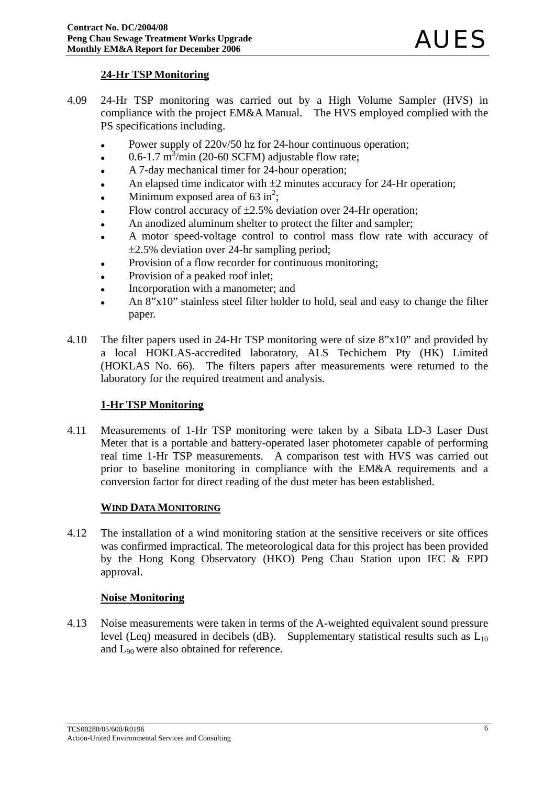## **24-Hr TSP Monitoring**

- 4.09 24-Hr TSP monitoring was carried out by a High Volume Sampler (HVS) in compliance with the project EM&A Manual. The HVS employed complied with the PS specifications including.
	- Power supply of 220v/50 hz for 24-hour continuous operation;
	- $\cdot$  0.6-1.7 m<sup>3</sup>/min (20-60 SCFM) adjustable flow rate;
	- A 7-day mechanical timer for 24-hour operation;
	- An elapsed time indicator with  $\pm 2$  minutes accuracy for 24-Hr operation;
	- Minimum exposed area of  $63 \text{ in}^2$ ;
	- Flow control accuracy of  $\pm 2.5\%$  deviation over 24-Hr operation;
	- An anodized aluminum shelter to protect the filter and sampler;
	- A motor speed-voltage control to control mass flow rate with accuracy of ±2.5% deviation over 24-hr sampling period;
	- Provision of a flow recorder for continuous monitoring;
	- Provision of a peaked roof inlet;
	- Incorporation with a manometer; and
	- An 8"x10" stainless steel filter holder to hold, seal and easy to change the filter paper.
- 4.10 The filter papers used in 24-Hr TSP monitoring were of size 8"x10" and provided by a local HOKLAS-accredited laboratory, ALS Techichem Pty (HK) Limited (HOKLAS No. 66). The filters papers after measurements were returned to the laboratory for the required treatment and analysis.

## **1-Hr TSP Monitoring**

4.11 Measurements of 1-Hr TSP monitoring were taken by a Sibata LD-3 Laser Dust Meter that is a portable and battery-operated laser photometer capable of performing real time 1-Hr TSP measurements. A comparison test with HVS was carried out prior to baseline monitoring in compliance with the EM&A requirements and a conversion factor for direct reading of the dust meter has been established.

### **WIND DATA MONITORING**

4.12 The installation of a wind monitoring station at the sensitive receivers or site offices was confirmed impractical. The meteorological data for this project has been provided by the Hong Kong Observatory (HKO) Peng Chau Station upon IEC & EPD approval.

### **Noise Monitoring**

4.13 Noise measurements were taken in terms of the A-weighted equivalent sound pressure level (Leq) measured in decibels (dB). Supplementary statistical results such as  $L_{10}$ and L90 were also obtained for reference.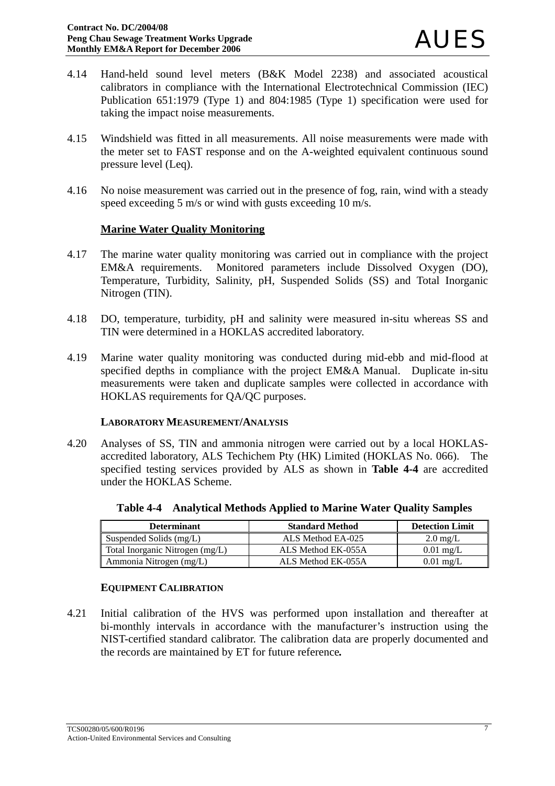- 4.14 Hand-held sound level meters (B&K Model 2238) and associated acoustical calibrators in compliance with the International Electrotechnical Commission (IEC) Publication 651:1979 (Type 1) and 804:1985 (Type 1) specification were used for taking the impact noise measurements.
- 4.15 Windshield was fitted in all measurements. All noise measurements were made with the meter set to FAST response and on the A-weighted equivalent continuous sound pressure level (Leq).
- 4.16 No noise measurement was carried out in the presence of fog, rain, wind with a steady speed exceeding 5 m/s or wind with gusts exceeding 10 m/s.

### **Marine Water Quality Monitoring**

- 4.17 The marine water quality monitoring was carried out in compliance with the project EM&A requirements. Monitored parameters include Dissolved Oxygen (DO), Temperature, Turbidity, Salinity, pH, Suspended Solids (SS) and Total Inorganic Nitrogen (TIN).
- 4.18 DO, temperature, turbidity, pH and salinity were measured in-situ whereas SS and TIN were determined in a HOKLAS accredited laboratory.
- 4.19 Marine water quality monitoring was conducted during mid-ebb and mid-flood at specified depths in compliance with the project EM&A Manual. Duplicate in-situ measurements were taken and duplicate samples were collected in accordance with HOKLAS requirements for QA/QC purposes.

#### **LABORATORY MEASUREMENT/ANALYSIS**

4.20 Analyses of SS, TIN and ammonia nitrogen were carried out by a local HOKLASaccredited laboratory, ALS Techichem Pty (HK) Limited (HOKLAS No. 066). The specified testing services provided by ALS as shown in **Table 4-4** are accredited under the HOKLAS Scheme.

| <b>Determinant</b>              | <b>Standard Method</b> | <b>Detection Limit</b> |
|---------------------------------|------------------------|------------------------|
| Suspended Solids (mg/L)         | ALS Method EA-025      | $2.0 \text{ mg/L}$     |
| Total Inorganic Nitrogen (mg/L) | ALS Method EK-055A     | $0.01 \text{ mg/L}$    |
| Ammonia Nitrogen (mg/L)         | ALS Method EK-055A     | $0.01$ mg/L            |

**Table 4-4 Analytical Methods Applied to Marine Water Quality Samples**

## **EQUIPMENT CALIBRATION**

4.21 Initial calibration of the HVS was performed upon installation and thereafter at bi-monthly intervals in accordance with the manufacturer's instruction using the NIST-certified standard calibrator. The calibration data are properly documented and the records are maintained by ET for future reference*.*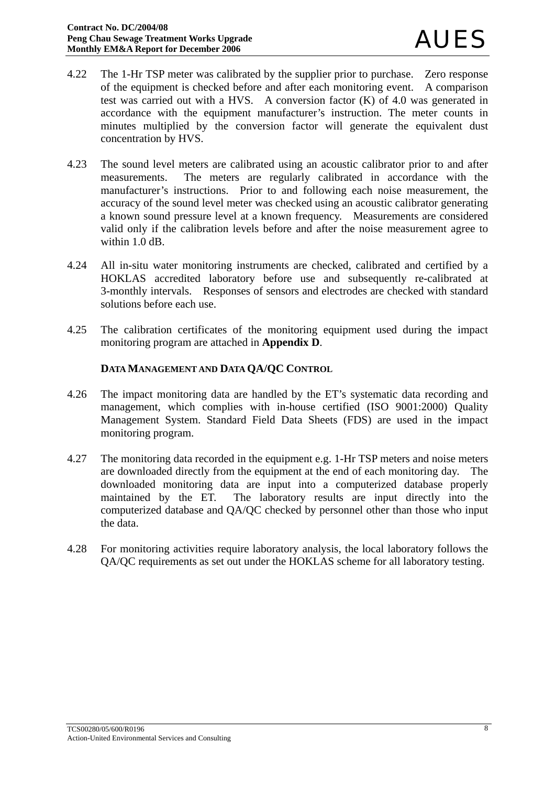- 4.22 The 1-Hr TSP meter was calibrated by the supplier prior to purchase. Zero response of the equipment is checked before and after each monitoring event. A comparison test was carried out with a HVS. A conversion factor (K) of 4.0 was generated in accordance with the equipment manufacturer's instruction. The meter counts in minutes multiplied by the conversion factor will generate the equivalent dust concentration by HVS.
- 4.23 The sound level meters are calibrated using an acoustic calibrator prior to and after measurements. The meters are regularly calibrated in accordance with the manufacturer's instructions. Prior to and following each noise measurement, the accuracy of the sound level meter was checked using an acoustic calibrator generating a known sound pressure level at a known frequency. Measurements are considered valid only if the calibration levels before and after the noise measurement agree to within 1.0 dB.
- 4.24 All in-situ water monitoring instruments are checked, calibrated and certified by a HOKLAS accredited laboratory before use and subsequently re-calibrated at 3-monthly intervals. Responses of sensors and electrodes are checked with standard solutions before each use.
- 4.25 The calibration certificates of the monitoring equipment used during the impact monitoring program are attached in **Appendix D**.

## **DATA MANAGEMENT AND DATA QA/QC CONTROL**

- 4.26 The impact monitoring data are handled by the ET's systematic data recording and management, which complies with in-house certified (ISO 9001:2000) Quality Management System. Standard Field Data Sheets (FDS) are used in the impact monitoring program.
- 4.27 The monitoring data recorded in the equipment e.g. 1-Hr TSP meters and noise meters are downloaded directly from the equipment at the end of each monitoring day. The downloaded monitoring data are input into a computerized database properly maintained by the ET. The laboratory results are input directly into the computerized database and QA/QC checked by personnel other than those who input the data.
- 4.28 For monitoring activities require laboratory analysis, the local laboratory follows the QA/QC requirements as set out under the HOKLAS scheme for all laboratory testing.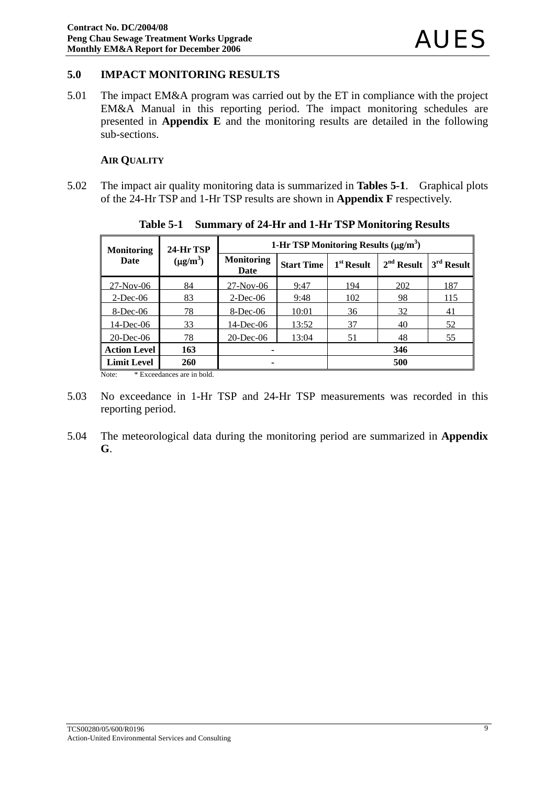## **5.0 IMPACT MONITORING RESULTS**

5.01 The impact EM&A program was carried out by the ET in compliance with the project EM&A Manual in this reporting period. The impact monitoring schedules are presented in **Appendix E** and the monitoring results are detailed in the following sub-sections.

#### **AIR QUALITY**

5.02 The impact air quality monitoring data is summarized in **Tables 5-1**. Graphical plots of the 24-Hr TSP and 1-Hr TSP results are shown in **Appendix F** respectively.

| <b>Monitoring</b>     | 24-Hr TSP  | 1-Hr TSP Monitoring Results $(\mu g/m^3)$ |                   |              |              |              |  |
|-----------------------|------------|-------------------------------------------|-------------------|--------------|--------------|--------------|--|
| $(\mu g/m^3)$<br>Date |            | <b>Monitoring</b><br>Date                 | <b>Start Time</b> | $1st$ Result | $2nd$ Result | $3rd$ Result |  |
| $27-Nov-06$           | 84         | $27-Nov-06$                               | 9:47              | 194          | 202          | 187          |  |
| $2$ -Dec-06           | 83         | $2$ -Dec-06                               | 9:48              | 102          | 98           | 115          |  |
| $8$ -Dec-06           | 78         | 8-Dec-06                                  | 10:01             | 36           | 32           | 41           |  |
| $14$ -Dec-06          | 33         | 14-Dec-06                                 | 13:52             | 37           | 40           | 52           |  |
| $20$ -Dec-06          | 78         | $20$ -Dec-06                              | 13:04             | 51           | 48           | 55           |  |
| <b>Action Level</b>   | 163        | 346<br>۰                                  |                   |              |              |              |  |
| <b>Limit Level</b>    | <b>260</b> | 500<br>۰                                  |                   |              |              |              |  |

**Table 5-1 Summary of 24-Hr and 1-Hr TSP Monitoring Results** 

Note: \* Exceedances are in bold.

- 5.03 No exceedance in 1-Hr TSP and 24-Hr TSP measurements was recorded in this reporting period.
- 5.04 The meteorological data during the monitoring period are summarized in **Appendix G**.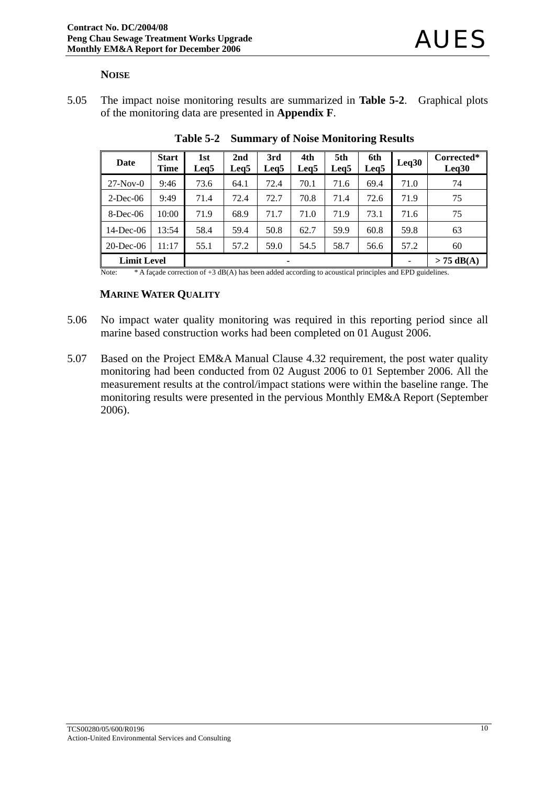#### **NOISE**

5.05 The impact noise monitoring results are summarized in **Table 5-2**. Graphical plots of the monitoring data are presented in **Appendix F**.

| Date               | <b>Start</b><br><b>Time</b> | 1st<br>Leg5 | 2nd<br>Leg <sub>5</sub> | 3rd<br>Leg5 | 4th<br>Leg5 | 5th<br>Leg <sub>5</sub> | 6th<br>Leq <sub>5</sub> | Leq30 | Corrected*<br>Leq30 |
|--------------------|-----------------------------|-------------|-------------------------|-------------|-------------|-------------------------|-------------------------|-------|---------------------|
| $27-Nov-0$         | 9:46                        | 73.6        | 64.1                    | 72.4        | 70.1        | 71.6                    | 69.4                    | 71.0  | 74                  |
| $2$ -Dec-06        | 9:49                        | 71.4        | 72.4                    | 72.7        | 70.8        | 71.4                    | 72.6                    | 71.9  | 75                  |
| $8$ -Dec-06        | 10:00                       | 71.9        | 68.9                    | 71.7        | 71.0        | 71.9                    | 73.1                    | 71.6  | 75                  |
| 14-Dec-06          | 13:54                       | 58.4        | 59.4                    | 50.8        | 62.7        | 59.9                    | 60.8                    | 59.8  | 63                  |
| $20$ -Dec-06       | 11:17                       | 55.1        | 57.2                    | 59.0        | 54.5        | 58.7                    | 56.6                    | 57.2  | 60                  |
| <b>Limit Level</b> |                             |             |                         | ۰           |             |                         |                         |       | $> 75$ dB(A)        |

**Table 5-2 Summary of Noise Monitoring Results** 

Note: \* A façade correction of +3 dB(A) has been added according to acoustical principles and EPD guidelines.

#### **MARINE WATER QUALITY**

- 5.06 No impact water quality monitoring was required in this reporting period since all marine based construction works had been completed on 01 August 2006.
- 5.07 Based on the Project EM&A Manual Clause 4.32 requirement, the post water quality monitoring had been conducted from 02 August 2006 to 01 September 2006. All the measurement results at the control/impact stations were within the baseline range. The monitoring results were presented in the pervious Monthly EM&A Report (September 2006).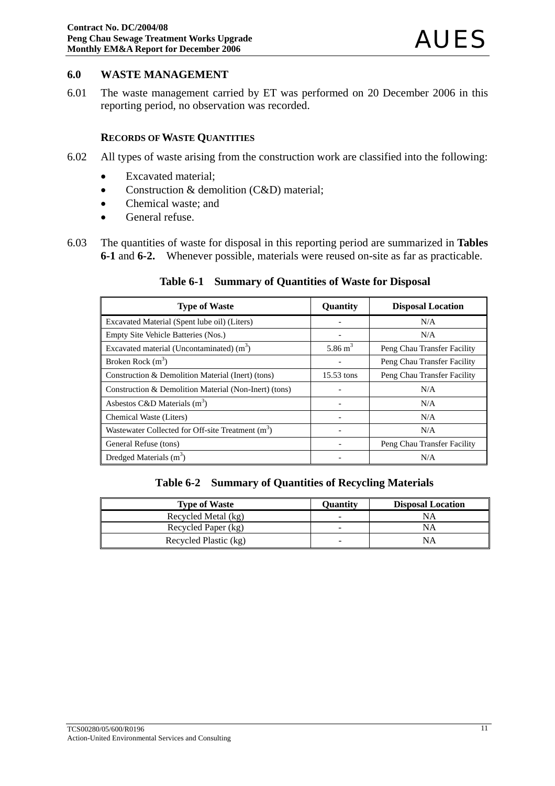#### **6.0 WASTE MANAGEMENT**

6.01 The waste management carried by ET was performed on 20 December 2006 in this reporting period, no observation was recorded.

#### **RECORDS OF WASTE QUANTITIES**

- 6.02 All types of waste arising from the construction work are classified into the following:
	- Excavated material;
	- Construction & demolition (C&D) material;
	- Chemical waste: and
	- General refuse.
- 6.03 The quantities of waste for disposal in this reporting period are summarized in **Tables 6-1** and **6-2.**Whenever possible, materials were reused on-site as far as practicable.

#### **Table 6-1 Summary of Quantities of Waste for Disposal**

| <b>Type of Waste</b>                                          | Quantity   | <b>Disposal Location</b>    |
|---------------------------------------------------------------|------------|-----------------------------|
| Excavated Material (Spent lube oil) (Liters)                  |            | N/A                         |
| Empty Site Vehicle Batteries (Nos.)                           |            | N/A                         |
| Excavated material (Uncontaminated) $(m3)$                    | 5.86 $m^3$ | Peng Chau Transfer Facility |
| Broken Rock $(m^3)$                                           |            | Peng Chau Transfer Facility |
| Construction & Demolition Material (Inert) (tons)             | 15.53 tons | Peng Chau Transfer Facility |
| Construction & Demolition Material (Non-Inert) (tons)         |            | N/A                         |
| Asbestos C&D Materials $(m^3)$                                |            | N/A                         |
| Chemical Waste (Liters)                                       |            | N/A                         |
| Wastewater Collected for Off-site Treatment (m <sup>3</sup> ) |            | N/A                         |
| General Refuse (tons)                                         |            | Peng Chau Transfer Facility |
| Dredged Materials $(m3)$                                      |            | N/A                         |

**Table 6-2 Summary of Quantities of Recycling Materials**

| <b>Type of Waste</b>  | Ouantity | <b>Disposal Location</b> |
|-----------------------|----------|--------------------------|
| Recycled Metal (kg)   | -        | NA                       |
| Recycled Paper (kg)   | -        | NΑ                       |
| Recycled Plastic (kg) |          | NΑ                       |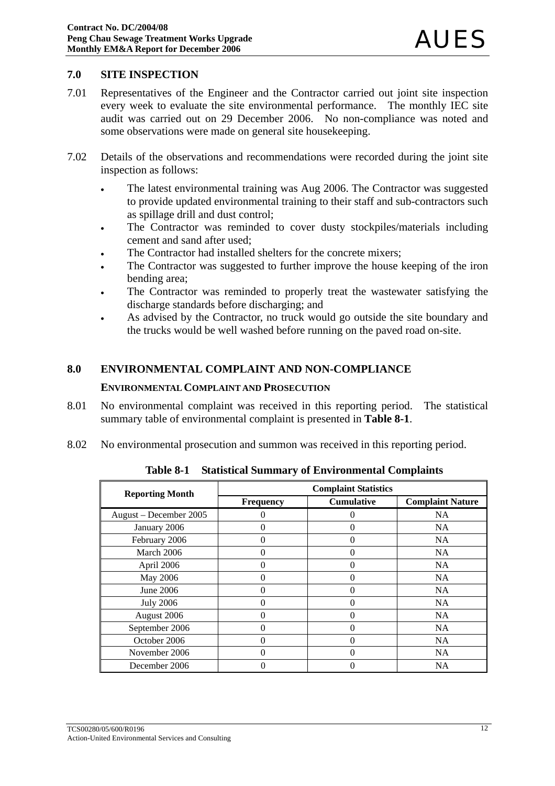### **7.0 SITE INSPECTION**

- 7.01 Representatives of the Engineer and the Contractor carried out joint site inspection every week to evaluate the site environmental performance. The monthly IEC site audit was carried out on 29 December 2006. No non-compliance was noted and some observations were made on general site housekeeping.
- 7.02 Details of the observations and recommendations were recorded during the joint site inspection as follows:
	- The latest environmental training was Aug 2006. The Contractor was suggested to provide updated environmental training to their staff and sub-contractors such as spillage drill and dust control;
	- The Contractor was reminded to cover dusty stockpiles/materials including cement and sand after used;
	- The Contractor had installed shelters for the concrete mixers;
	- The Contractor was suggested to further improve the house keeping of the iron bending area;
	- The Contractor was reminded to properly treat the wastewater satisfying the discharge standards before discharging; and
	- As advised by the Contractor, no truck would go outside the site boundary and the trucks would be well washed before running on the paved road on-site.

### **8.0 ENVIRONMENTAL COMPLAINT AND NON-COMPLIANCE**

#### **ENVIRONMENTAL COMPLAINT AND PROSECUTION**

- 8.01 No environmental complaint was received in this reporting period. The statistical summary table of environmental complaint is presented in **Table 8-1**.
- 8.02 No environmental prosecution and summon was received in this reporting period.

| <b>Reporting Month</b> | <b>Complaint Statistics</b> |                   |                         |  |  |  |
|------------------------|-----------------------------|-------------------|-------------------------|--|--|--|
|                        | <b>Frequency</b>            | <b>Cumulative</b> | <b>Complaint Nature</b> |  |  |  |
| August - December 2005 |                             | 0                 | <b>NA</b>               |  |  |  |
| January 2006           |                             | 0                 | <b>NA</b>               |  |  |  |
| February 2006          | 0                           | $\theta$          | NA                      |  |  |  |
| March 2006             | 0                           | $\theta$          | NA.                     |  |  |  |
| April 2006             | 0                           | 0                 | <b>NA</b>               |  |  |  |
| May 2006               | 0                           | $\theta$          | <b>NA</b>               |  |  |  |
| June 2006              |                             | 0                 | <b>NA</b>               |  |  |  |
| <b>July 2006</b>       | 0                           | $\theta$          | <b>NA</b>               |  |  |  |
| August 2006            | 0                           | $\Omega$          | <b>NA</b>               |  |  |  |
| September 2006         | 0                           | $\Omega$          | <b>NA</b>               |  |  |  |
| October 2006           | 0                           | $\theta$          | <b>NA</b>               |  |  |  |
| November 2006          | 0                           | $\theta$          | <b>NA</b>               |  |  |  |
| December 2006          |                             | 0                 | <b>NA</b>               |  |  |  |

**Table 8-1 Statistical Summary of Environmental Complaints**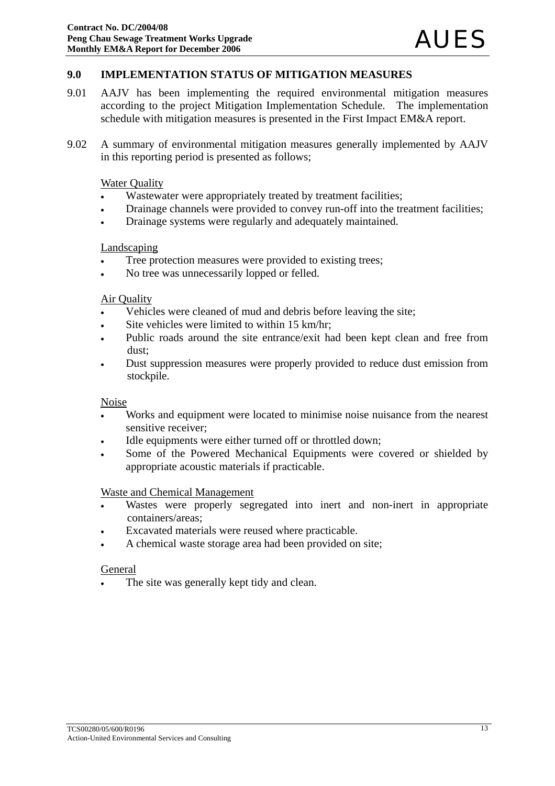## **9.0 IMPLEMENTATION STATUS OF MITIGATION MEASURES**

- 9.01 AAJV has been implementing the required environmental mitigation measures according to the project Mitigation Implementation Schedule. The implementation schedule with mitigation measures is presented in the First Impact EM&A report.
- 9.02 A summary of environmental mitigation measures generally implemented by AAJV in this reporting period is presented as follows;

#### Water Quality

- Wastewater were appropriately treated by treatment facilities;
- Drainage channels were provided to convey run-off into the treatment facilities;
- Drainage systems were regularly and adequately maintained.

#### Landscaping

- Tree protection measures were provided to existing trees;
- No tree was unnecessarily lopped or felled.

#### Air Quality

- Vehicles were cleaned of mud and debris before leaving the site;
- Site vehicles were limited to within 15 km/hr;
- Public roads around the site entrance/exit had been kept clean and free from dust;
- Dust suppression measures were properly provided to reduce dust emission from stockpile.

#### **Noise**

- Works and equipment were located to minimise noise nuisance from the nearest sensitive receiver;
- Idle equipments were either turned off or throttled down;
- Some of the Powered Mechanical Equipments were covered or shielded by appropriate acoustic materials if practicable.

#### Waste and Chemical Management

- Wastes were properly segregated into inert and non-inert in appropriate containers/areas;
- Excavated materials were reused where practicable.
- A chemical waste storage area had been provided on site;

#### General

The site was generally kept tidy and clean.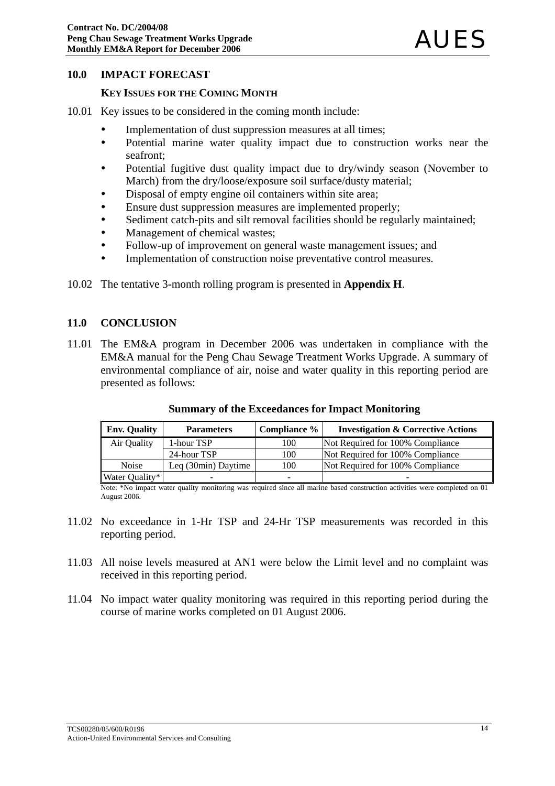#### **10.0 IMPACT FORECAST**

#### **KEY ISSUES FOR THE COMING MONTH**

- 10.01 Key issues to be considered in the coming month include:
	- Implementation of dust suppression measures at all times;
	- Potential marine water quality impact due to construction works near the seafront;
	- Potential fugitive dust quality impact due to dry/windy season (November to March) from the dry/loose/exposure soil surface/dusty material;
	- Disposal of empty engine oil containers within site area;
	- Ensure dust suppression measures are implemented properly;
	- Sediment catch-pits and silt removal facilities should be regularly maintained:
	- Management of chemical wastes:
	- Follow-up of improvement on general waste management issues; and
	- Implementation of construction noise preventative control measures.
- 10.02 The tentative 3-month rolling program is presented in **Appendix H**.

#### **11.0 CONCLUSION**

11.01 The EM&A program in December 2006 was undertaken in compliance with the EM&A manual for the Peng Chau Sewage Treatment Works Upgrade. A summary of environmental compliance of air, noise and water quality in this reporting period are presented as follows:

| <b>Env. Quality</b> | <b>Parameters</b>   | Compliance % | <b>Investigation &amp; Corrective Actions</b> |
|---------------------|---------------------|--------------|-----------------------------------------------|
| Air Quality         | 1-hour TSP          | 100          | Not Required for 100% Compliance              |
|                     | 24-hour TSP         | 100          | Not Required for 100% Compliance              |
| <b>Noise</b>        | Leg (30min) Daytime | 100          | Not Required for 100% Compliance              |
| Water Quality*      | -                   |              |                                               |

#### **Summary of the Exceedances for Impact Monitoring**

Note: \*No impact water quality monitoring was required since all marine based construction activities were completed on 01 August 2006.

- 11.02 No exceedance in 1-Hr TSP and 24-Hr TSP measurements was recorded in this reporting period.
- 11.03 All noise levels measured at AN1 were below the Limit level and no complaint was received in this reporting period.
- 11.04 No impact water quality monitoring was required in this reporting period during the course of marine works completed on 01 August 2006.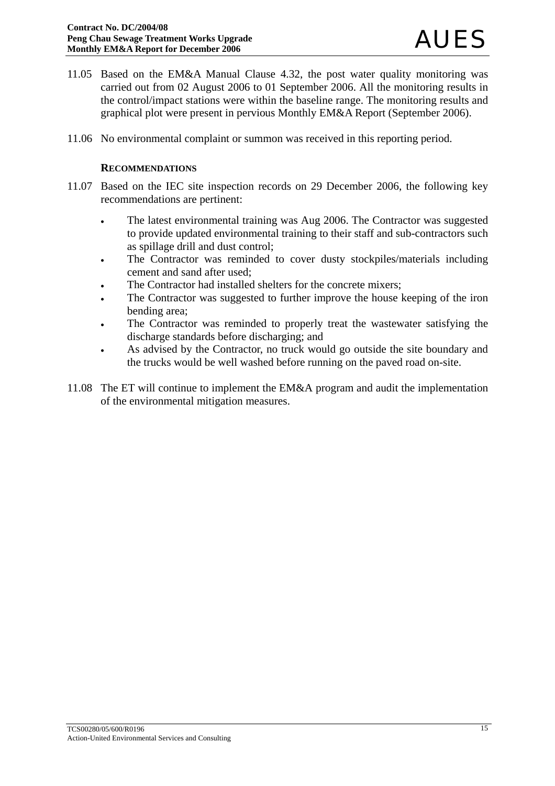- 11.05 Based on the EM&A Manual Clause 4.32, the post water quality monitoring was carried out from 02 August 2006 to 01 September 2006. All the monitoring results in the control/impact stations were within the baseline range. The monitoring results and graphical plot were present in pervious Monthly EM&A Report (September 2006).
- 11.06 No environmental complaint or summon was received in this reporting period.

### **RECOMMENDATIONS**

- 11.07 Based on the IEC site inspection records on 29 December 2006, the following key recommendations are pertinent:
	- The latest environmental training was Aug 2006. The Contractor was suggested to provide updated environmental training to their staff and sub-contractors such as spillage drill and dust control;
	- The Contractor was reminded to cover dusty stockpiles/materials including cement and sand after used;
	- The Contractor had installed shelters for the concrete mixers;
	- The Contractor was suggested to further improve the house keeping of the iron bending area;
	- The Contractor was reminded to properly treat the wastewater satisfying the discharge standards before discharging; and
	- As advised by the Contractor, no truck would go outside the site boundary and the trucks would be well washed before running on the paved road on-site.
- 11.08 The ET will continue to implement the EM&A program and audit the implementation of the environmental mitigation measures.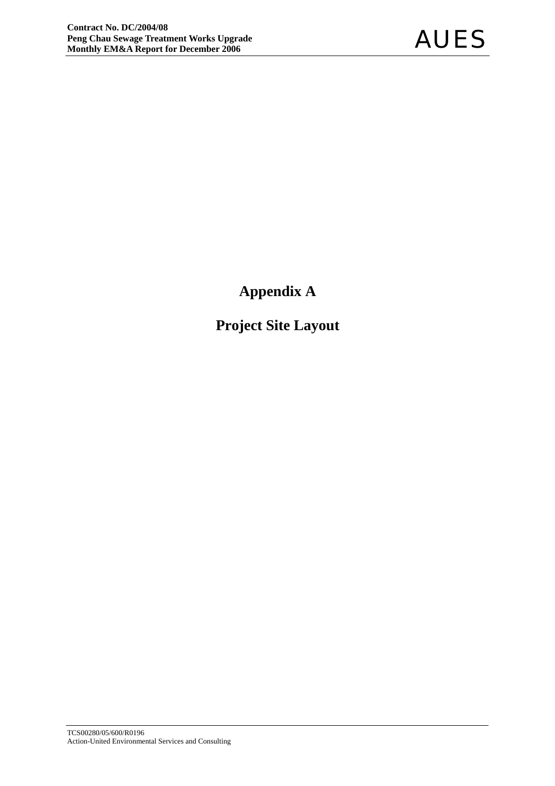**Appendix A** 

**Project Site Layout**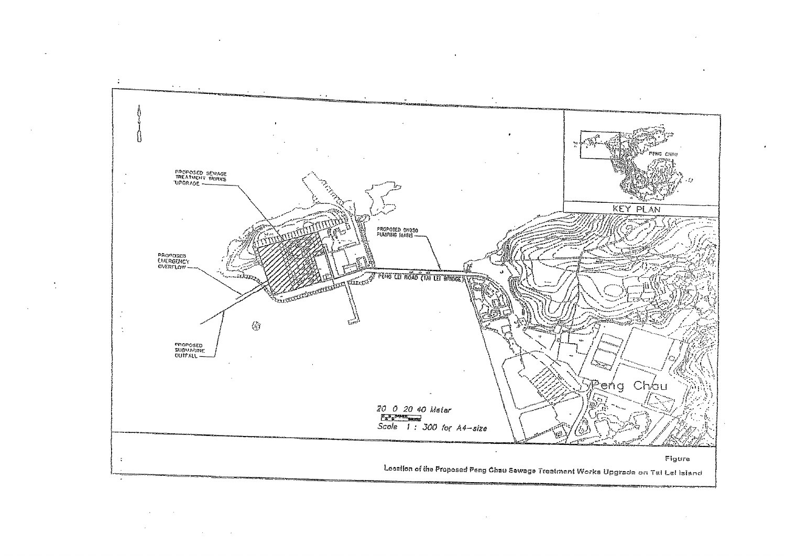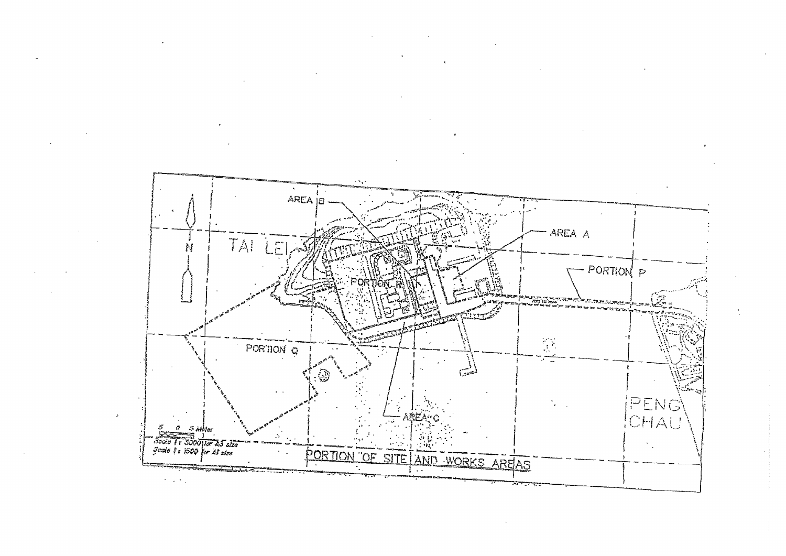

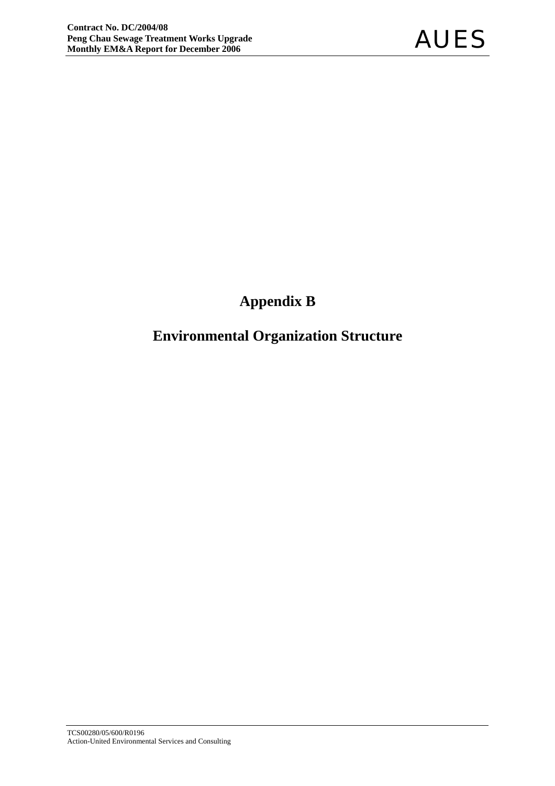## **Appendix B**

## **Environmental Organization Structure**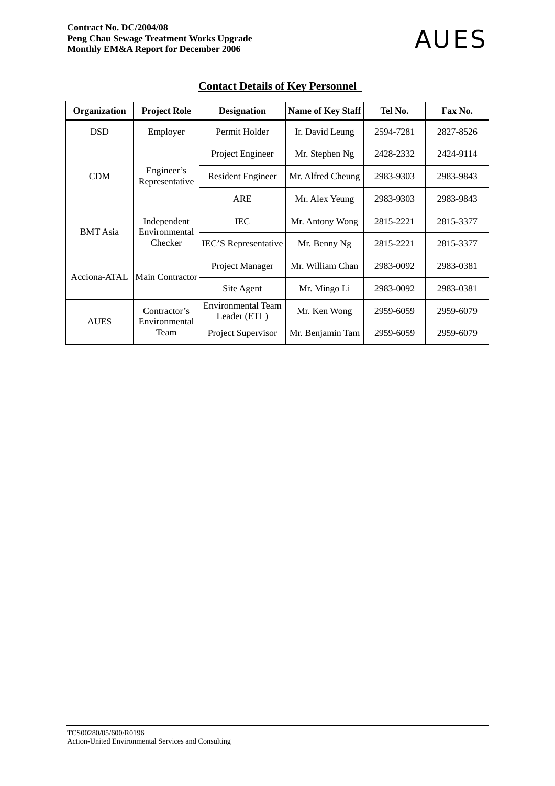| Organization    | <b>Project Role</b>           | <b>Designation</b>                        | <b>Name of Key Staff</b> | Tel No.   | Fax No.   |
|-----------------|-------------------------------|-------------------------------------------|--------------------------|-----------|-----------|
| <b>DSD</b>      | Employer                      | Permit Holder                             | Ir. David Leung          | 2594-7281 | 2827-8526 |
|                 |                               | Project Engineer                          | Mr. Stephen Ng           | 2428-2332 | 2424-9114 |
| <b>CDM</b>      | Engineer's<br>Representative  | <b>Resident Engineer</b>                  | Mr. Alfred Cheung        | 2983-9303 | 2983-9843 |
|                 |                               | <b>ARE</b>                                | Mr. Alex Yeung           | 2983-9303 | 2983-9843 |
| <b>BMT</b> Asia | Independent<br>Environmental  | <b>IEC</b>                                | Mr. Antony Wong          | 2815-2221 | 2815-3377 |
|                 | Checker                       | <b>IEC'S</b> Representative               | Mr. Benny Ng             | 2815-2221 | 2815-3377 |
| Acciona-ATAL    | <b>Main Contractor</b>        | Project Manager                           | Mr. William Chan         | 2983-0092 | 2983-0381 |
|                 |                               | Site Agent                                | Mr. Mingo Li             | 2983-0092 | 2983-0381 |
| <b>AUES</b>     | Contractor's<br>Environmental | <b>Environmental Team</b><br>Leader (ETL) | Mr. Ken Wong             | 2959-6059 | 2959-6079 |
|                 | Team                          | Project Supervisor                        | Mr. Benjamin Tam         | 2959-6059 | 2959-6079 |

## **Contact Details of Key Personnel**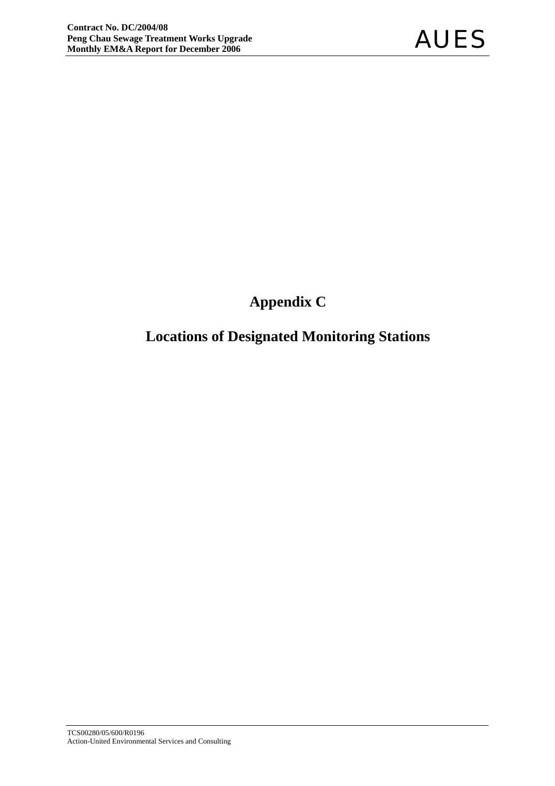## **Appendix C**

## **Locations of Designated Monitoring Stations**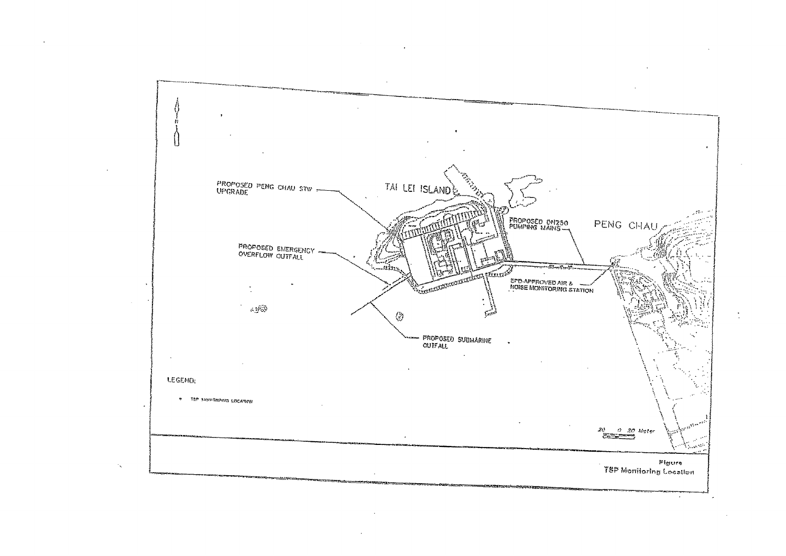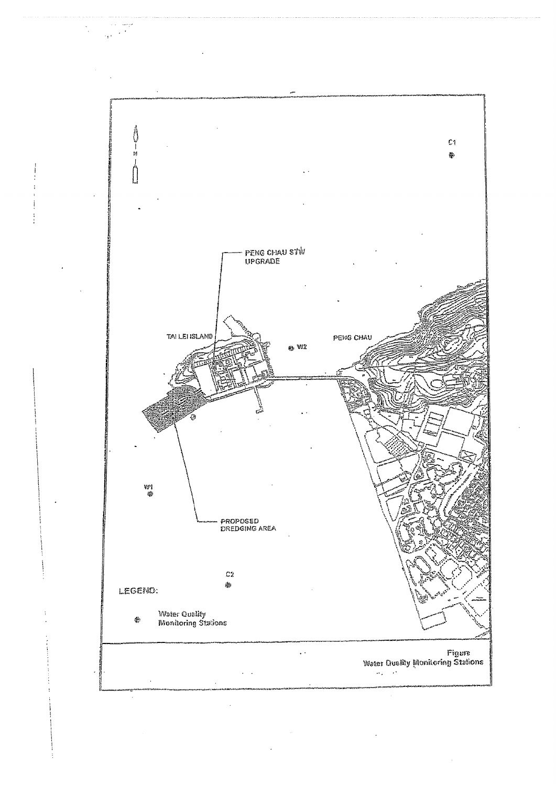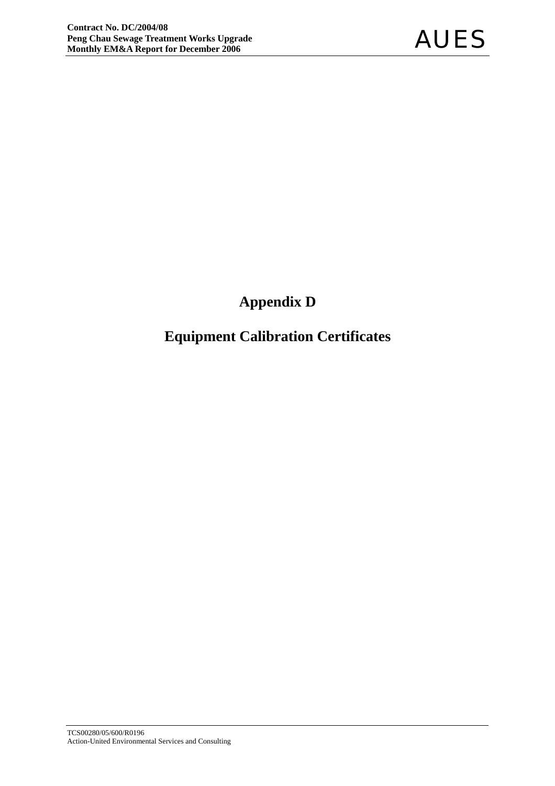## **Appendix D**

## **Equipment Calibration Certificates**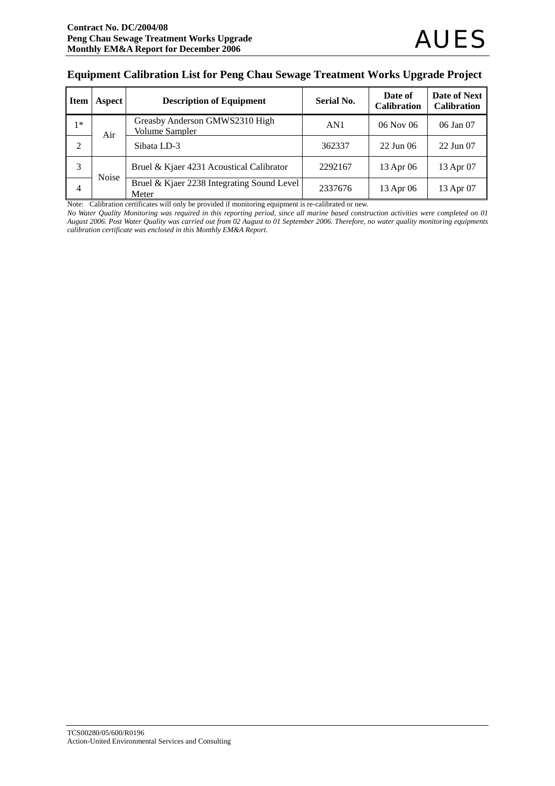#### **Equipment Calibration List for Peng Chau Sewage Treatment Works Upgrade Project**

| <b>Item</b>    | Aspect       | <b>Description of Equipment</b>                         | <b>Serial No.</b> | Date of<br><b>Calibration</b> | Date of Next<br><b>Calibration</b> |
|----------------|--------------|---------------------------------------------------------|-------------------|-------------------------------|------------------------------------|
| $1*$           | Air          | Greasby Anderson GMWS2310 High<br><b>Volume Sampler</b> | AN1               | $06$ Nov $06$                 | 06 Jan 07                          |
| $\overline{2}$ |              | Sibata LD-3                                             | 362337            | $22$ Jun 06                   | 22 Jun 07                          |
| 3              | <b>Noise</b> | Bruel & Kjaer 4231 Acoustical Calibrator                | 2292167           | 13 Apr 06                     | 13 Apr 07                          |
| 4              |              | Bruel & Kjaer 2238 Integrating Sound Level<br>Meter     | 2337676           | 13 Apr 06                     | 13 Apr 07                          |

Note: Calibration certificates will only be provided if monitoring equipment is re-calibrated or new.

*No Water Quality Monitoring was required in this reporting period, since all marine based construction activities were completed on 01 August 2006. Post Water Quality was carried out from 02 August to 01 September 2006. Therefore, no water quality monitoring equipments calibration certificate was enclosed in this Monthly EM&A Report.*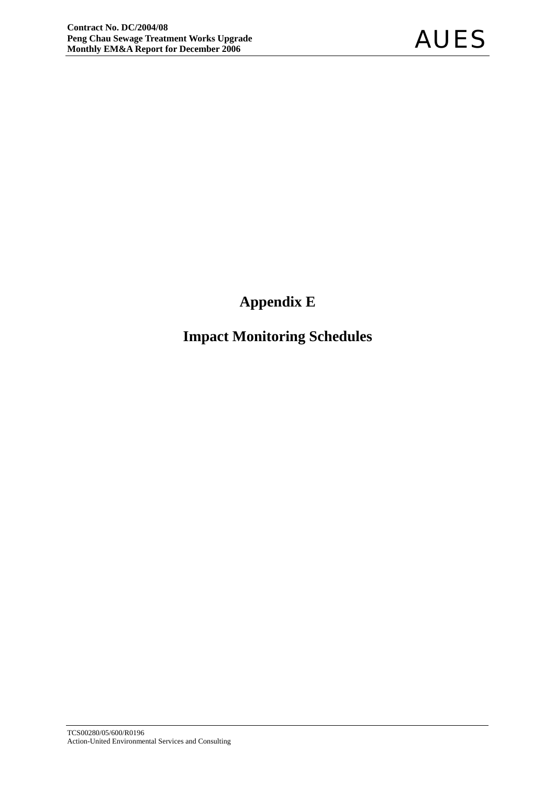## **Appendix E**

## **Impact Monitoring Schedules**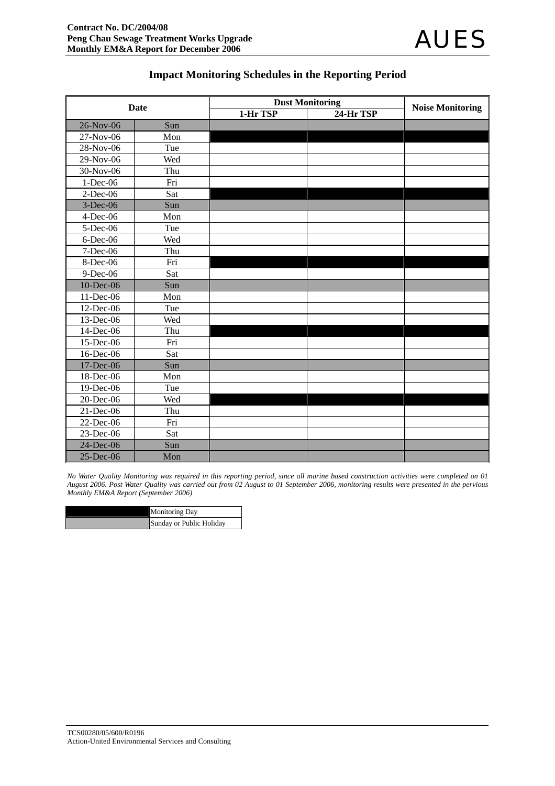## **Impact Monitoring Schedules in the Reporting Period**

| <b>Date</b> |     | <b>Dust Monitoring</b> | <b>Noise Monitoring</b> |  |
|-------------|-----|------------------------|-------------------------|--|
|             |     | 1-Hr TSP               | 24-Hr TSP               |  |
| 26-Nov-06   | Sun |                        |                         |  |
| 27-Nov-06   | Mon |                        |                         |  |
| 28-Nov-06   | Tue |                        |                         |  |
| 29-Nov-06   | Wed |                        |                         |  |
| 30-Nov-06   | Thu |                        |                         |  |
| 1-Dec-06    | Fri |                        |                         |  |
| $2$ -Dec-06 | Sat |                        |                         |  |
| $3-Dec-06$  | Sun |                        |                         |  |
| $4$ -Dec-06 | Mon |                        |                         |  |
| 5-Dec-06    | Tue |                        |                         |  |
| $6$ -Dec-06 | Wed |                        |                         |  |
| 7-Dec-06    | Thu |                        |                         |  |
| 8-Dec-06    | Fri |                        |                         |  |
| 9-Dec-06    | Sat |                        |                         |  |
| 10-Dec-06   | Sun |                        |                         |  |
| 11-Dec-06   | Mon |                        |                         |  |
| 12-Dec-06   | Tue |                        |                         |  |
| 13-Dec-06   | Wed |                        |                         |  |
| 14-Dec-06   | Thu |                        |                         |  |
| 15-Dec-06   | Fri |                        |                         |  |
| 16-Dec-06   | Sat |                        |                         |  |
| 17-Dec-06   | Sun |                        |                         |  |
| 18-Dec-06   | Mon |                        |                         |  |
| 19-Dec-06   | Tue |                        |                         |  |
| 20-Dec-06   | Wed |                        |                         |  |
| 21-Dec-06   | Thu |                        |                         |  |
| 22-Dec-06   | Fri |                        |                         |  |
| 23-Dec-06   | Sat |                        |                         |  |
| 24-Dec-06   | Sun |                        |                         |  |
| 25-Dec-06   | Mon |                        |                         |  |

*No Water Quality Monitoring was required in this reporting period, since all marine based construction activities were completed on 01 August 2006. Post Water Quality was carried out from 02 August to 01 September 2006, monitoring results were presented in the pervious Monthly EM&A Report (September 2006)* 

| <b>Monitoring Day</b>    |
|--------------------------|
| Sunday or Public Holiday |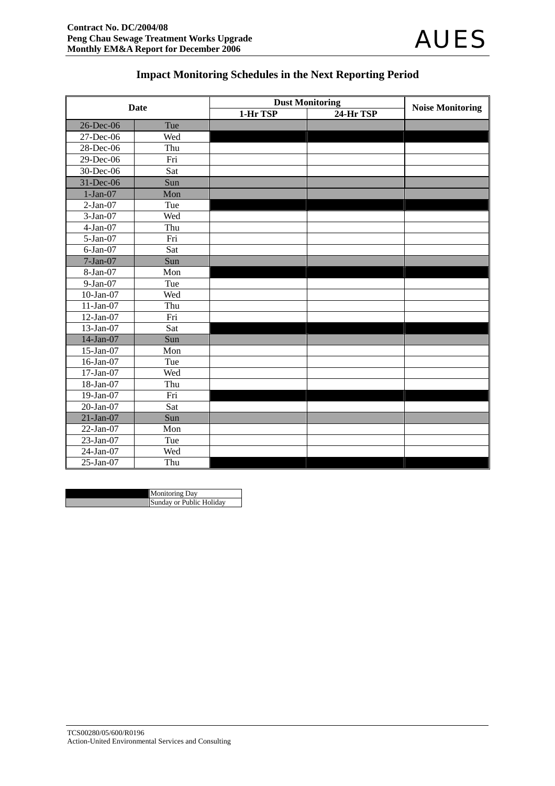

## **Impact Monitoring Schedules in the Next Reporting Period**

|              | Date | <b>Dust Monitoring</b> | <b>Noise Monitoring</b> |  |
|--------------|------|------------------------|-------------------------|--|
|              |      | 1-Hr TSP               | 24-Hr TSP               |  |
| 26-Dec-06    | Tue  |                        |                         |  |
| 27-Dec-06    | Wed  |                        |                         |  |
| 28-Dec-06    | Thu  |                        |                         |  |
| 29-Dec-06    | Fri  |                        |                         |  |
| 30-Dec-06    | Sat  |                        |                         |  |
| 31-Dec-06    | Sun  |                        |                         |  |
| $1-Jan-07$   | Mon  |                        |                         |  |
| $2-Jan-07$   | Tue  |                        |                         |  |
| 3-Jan-07     | Wed  |                        |                         |  |
| $4-Jan-07$   | Thu  |                        |                         |  |
| $5-Jan-07$   | Fri  |                        |                         |  |
| $6$ -Jan-07  | Sat  |                        |                         |  |
| $7-Jan-07$   | Sun  |                        |                         |  |
| 8-Jan-07     | Mon  |                        |                         |  |
| 9-Jan-07     | Tue  |                        |                         |  |
| $10$ -Jan-07 | Wed  |                        |                         |  |
| $11-Jan-07$  | Thu  |                        |                         |  |
| $12-Jan-07$  | Fri  |                        |                         |  |
| 13-Jan-07    | Sat  |                        |                         |  |
| $14$ -Jan-07 | Sun  |                        |                         |  |
| 15-Jan-07    | Mon  |                        |                         |  |
| 16-Jan-07    | Tue  |                        |                         |  |
| $17$ -Jan-07 | Wed  |                        |                         |  |
| $18$ -Jan-07 | Thu  |                        |                         |  |
| 19-Jan-07    | Fri  |                        |                         |  |
| 20-Jan-07    | Sat  |                        |                         |  |
| $21-Jan-07$  | Sun  |                        |                         |  |
| 22-Jan-07    | Mon  |                        |                         |  |
| 23-Jan-07    | Tue  |                        |                         |  |
| 24-Jan-07    | Wed  |                        |                         |  |
| 25-Jan-07    | Thu  |                        |                         |  |

| <b>Monitoring Day</b>           |
|---------------------------------|
| <b>Sunday or Public Holiday</b> |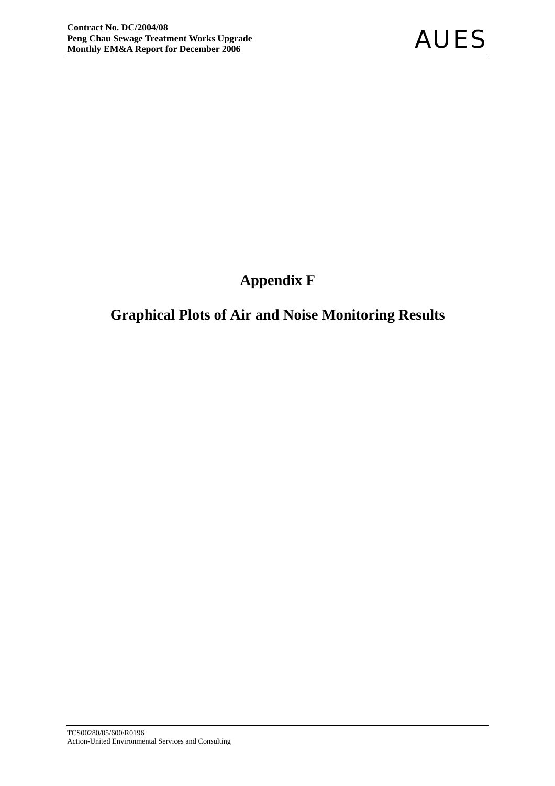## **Appendix F**

## **Graphical Plots of Air and Noise Monitoring Results**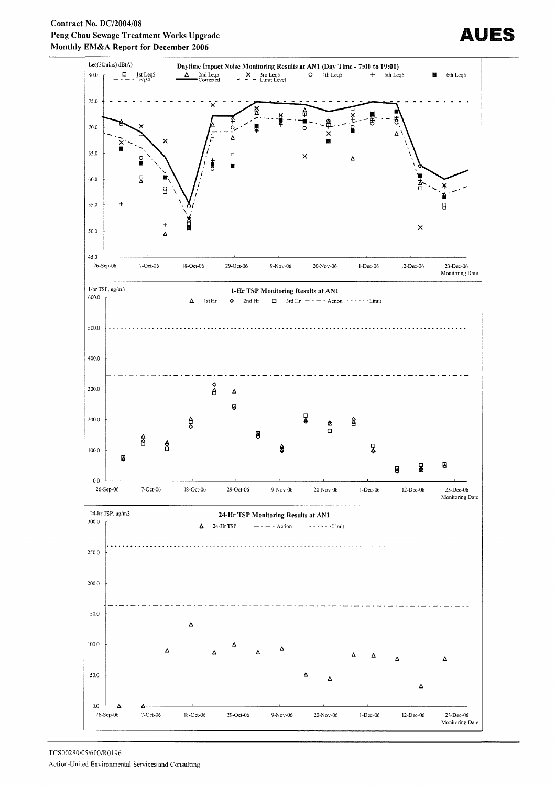#### Contract No. DC/2004/08 Peng Chau Sewage Treatment Works Upgrade Monthly EM&A Report for December 2006



# AUES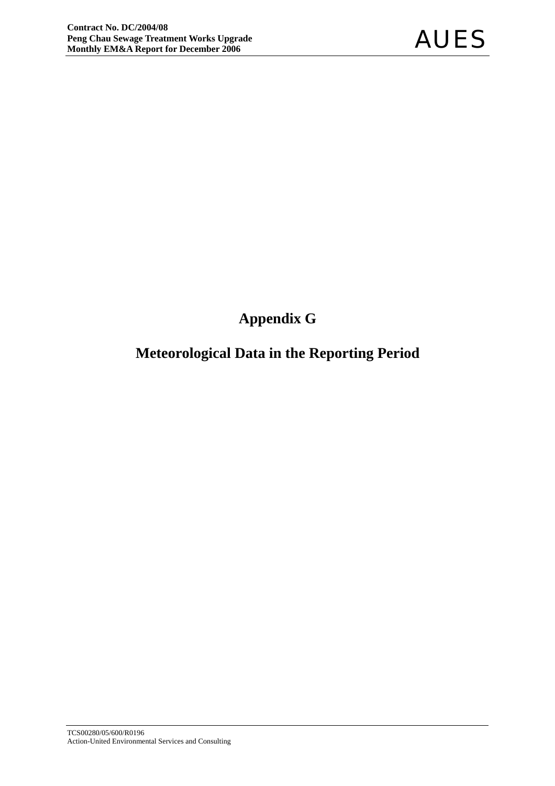## **Appendix G**

## **Meteorological Data in the Reporting Period**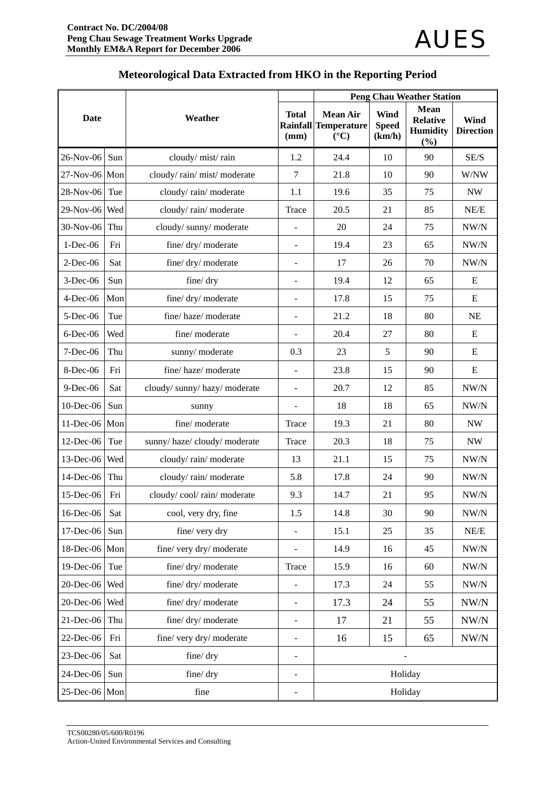|               |                       |                            | <b>Peng Chau Weather Station</b> |                                                                   |                                |                                                          |                          |  |  |
|---------------|-----------------------|----------------------------|----------------------------------|-------------------------------------------------------------------|--------------------------------|----------------------------------------------------------|--------------------------|--|--|
| <b>Date</b>   |                       | Weather                    | <b>Total</b><br>(mm)             | <b>Mean Air</b><br><b>Rainfall Temperature</b><br>$({}^{\circ}C)$ | Wind<br><b>Speed</b><br>(km/h) | <b>Mean</b><br><b>Relative</b><br><b>Humidity</b><br>(%) | Wind<br><b>Direction</b> |  |  |
| 26-Nov-06     | Sun                   | cloudy/mist/rain           | 1.2                              | 24.4                                                              | 10                             | 90                                                       | SE/S                     |  |  |
| 27-Nov-06 Mon |                       | cloudy/rain/mist/moderate  | 7                                | 21.8                                                              | 10                             | 90                                                       | W/NW                     |  |  |
| 28-Nov-06     | Tue                   | cloudy/rain/moderate       | 1.1                              | 19.6                                                              | 35                             | 75                                                       | <b>NW</b>                |  |  |
| 29-Nov-06     | Wed                   | cloudy/rain/moderate       | Trace                            | 20.5                                                              | 21                             | 85                                                       | NE/E                     |  |  |
| 30-Nov-06     | Thu                   | cloudy/sunny/moderate      |                                  | 20                                                                | 24                             | 75                                                       | NW/N                     |  |  |
| $1$ -Dec-06   | Fri                   | fine/ dry/ moderate        | ÷,                               | 19.4                                                              | 23                             | 65                                                       | NW/N                     |  |  |
| $2$ -Dec-06   | Sat                   | fine/ dry/ moderate        | ÷                                | 17                                                                | 26                             | 70                                                       | NW/N                     |  |  |
| $3$ -Dec-06   | Sun                   | fine/dry                   | $\overline{a}$                   | 19.4                                                              | 12                             | 65                                                       | E                        |  |  |
| $4$ -Dec-06   | Mon                   | fine/dry/moderate          |                                  | 17.8                                                              | 15                             | 75                                                       | ${\bf E}$                |  |  |
| $5$ -Dec-06   | Tue                   | fine/haze/moderate         | $\overline{\phantom{m}}$         | 21.2                                                              | 18                             | 80                                                       | <b>NE</b>                |  |  |
| $6$ -Dec-06   | Wed<br>fine/ moderate |                            | ÷,                               | 20.4                                                              | 27                             | 80                                                       | E                        |  |  |
| $7 - Dec-06$  | Thu                   | sunny/moderate             |                                  | 23                                                                | 5                              | 90                                                       | Ε                        |  |  |
| 8-Dec-06      | Fri                   | fine/haze/moderate         | $\frac{1}{2}$                    | 23.8                                                              | 15                             | 90                                                       | ${\bf E}$                |  |  |
| $9$ -Dec-06   | Sat                   | cloudy/sunny/hazy/moderate | ÷,                               | 20.7                                                              | 12                             | 85                                                       | NW/N                     |  |  |
| $10$ -Dec-06  | Sun                   | sunny                      | $\overline{\phantom{a}}$         | 18                                                                | 18                             | 65                                                       | NW/N                     |  |  |
| $11$ -Dec-06  | Mon                   | fine/ moderate             | Trace                            | 19.3                                                              | 21                             | 80                                                       | <b>NW</b>                |  |  |
| $12$ -Dec-06  | Tue                   | sunny/haze/cloudy/moderate | Trace                            | 20.3                                                              | 18                             | 75                                                       | <b>NW</b>                |  |  |
| $13$ -Dec-06  | Wed                   | cloudy/rain/moderate       | 13                               | 21.1                                                              | 15                             | 75                                                       | NW/N                     |  |  |
| 14-Dec-06     | Thu                   | cloudy/rain/moderate       | 5.8                              | 17.8                                                              | 24                             | 90                                                       | NW/N                     |  |  |
| 15-Dec-06     | Fri                   | cloudy/cool/rain/moderate  | 9.3                              | 14.7                                                              | 21                             | 95                                                       | NW/N                     |  |  |
| 16-Dec-06     | Sat                   | cool, very dry, fine       | 1.5                              | 14.8                                                              | 30                             | 90                                                       | NW/N                     |  |  |
| 17-Dec-06     | Sun                   | fine/ very dry             | ÷,                               | 15.1                                                              | 25                             | 35                                                       | NE/E                     |  |  |
| 18-Dec-06 Mon |                       | fine/ very dry/ moderate   | $\overline{a}$                   | 14.9                                                              | 16                             | 45                                                       | NW/N                     |  |  |
| 19-Dec-06     | Tue                   | fine/ dry/ moderate        | Trace                            | 15.9                                                              | 16                             | 60                                                       | $\text{NW/N}$            |  |  |
| 20-Dec-06     | Wed                   | fine/dry/moderate          |                                  | 17.3                                                              | 24                             | 55                                                       | $\text{NW} / \text{N}$   |  |  |
| 20-Dec-06     | Wed                   | fine/dry/moderate          | $\overline{\phantom{0}}$         | 17.3                                                              | 24                             | 55                                                       | $\text{NW/N}$            |  |  |
| $21$ -Dec-06  | Thu                   | fine/ dry/ moderate        | -                                | 17                                                                | 21                             | 55                                                       | $\text{NW/N}$            |  |  |
| 22-Dec-06     | Fri                   | fine/ very dry/ moderate   | $\overline{\phantom{0}}$         | 16                                                                | 15                             | 65                                                       | NW/N                     |  |  |
| 23-Dec-06     | Sat                   | fine/dry                   | $\overline{\phantom{0}}$         |                                                                   |                                |                                                          |                          |  |  |
| 24-Dec-06     | Sun                   | fine/dry                   | $\overline{\phantom{m}}$         |                                                                   | Holiday                        |                                                          |                          |  |  |
| 25-Dec-06 Mon |                       | fine                       |                                  |                                                                   | Holiday                        |                                                          |                          |  |  |

## **Meteorological Data Extracted from HKO in the Reporting Period**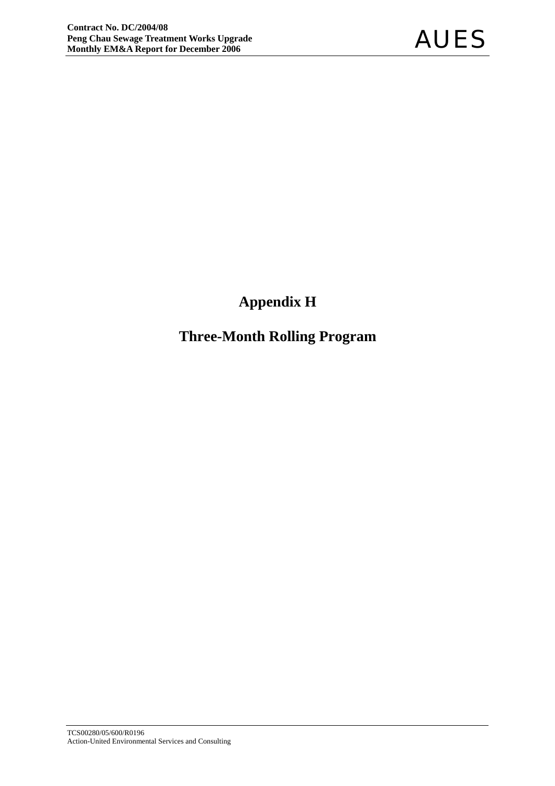## **Appendix H**

## **Three-Month Rolling Program**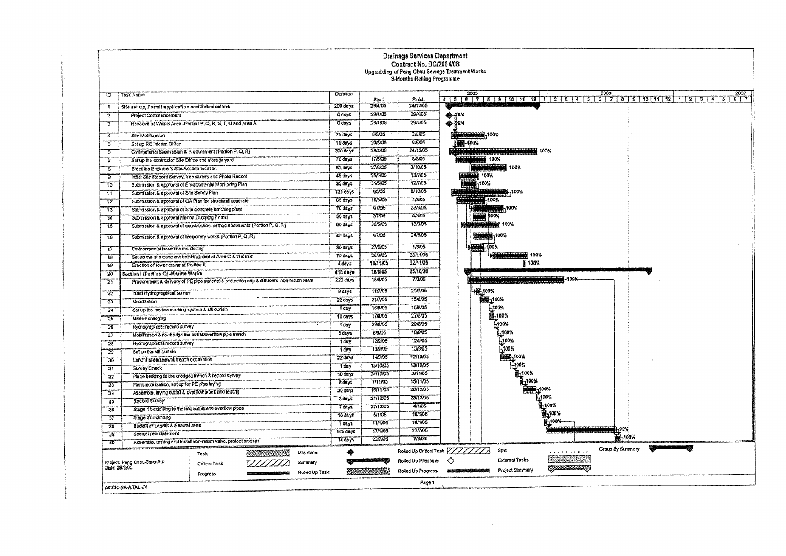|                                                                                        |                                                                                           |                      |                    | Drainage Services Department<br>Contract No. DC/2004/08<br>3-Months Rolling Programme | Upgradding of Peng Chau Sewage Treatment Works                                                                                              |
|----------------------------------------------------------------------------------------|-------------------------------------------------------------------------------------------|----------------------|--------------------|---------------------------------------------------------------------------------------|---------------------------------------------------------------------------------------------------------------------------------------------|
| <b>Task Name</b><br>10                                                                 |                                                                                           | <b>Duraton</b>       | Start              | Finish                                                                                | 2006<br>2005<br>2007<br>4   5   6   7   8   9   10   11   12   1   2   3   4   5   6   7   8   9   10   11   12   1   2   3   4   5   6   7 |
| Site ast up, Permit application and Submissions.<br>÷.                                 |                                                                                           | $200 \frac{day*}{ }$ | 29/4/05            | 24/12/05                                                                              |                                                                                                                                             |
| Project Commencement<br>2                                                              |                                                                                           | 0 days               | 29/1/05            | 29/4/05                                                                               | 2314                                                                                                                                        |
| 3                                                                                      | Handove of Works Area-Portion P.O.R.S.T. U and Area A.                                    | 0 days               | 29/4/05            | 29/4/05                                                                               | $*$                                                                                                                                         |
| Sile Mobilization<br>4                                                                 |                                                                                           | 75 days              | 5/5/05             | 3/8/05                                                                                | <b>NOON REPORTS</b>                                                                                                                         |
| Set up RE interim Office<br>5                                                          |                                                                                           | 18 days              | 20/5/05            | 9605                                                                                  | 400%                                                                                                                                        |
| T                                                                                      | Civil material Submission & Procurement (Portion P, Q, R)                                 | 200 days             | 29/4/05            | 24/12/05                                                                              | 100%<br><b>Linkworks Crappedden</b>                                                                                                         |
| Set up the contractor Site Office and storage yard<br>7                                |                                                                                           | 70 days              | 17/5/05            | 8/8/05                                                                                | 100%                                                                                                                                        |
| Erect the Engineer's Site Accommodation<br>-8                                          |                                                                                           | $62 \text{ days}$    | 27/6/05            | 3/10/05                                                                               |                                                                                                                                             |
| In Sal Site Record Survey, tree survey and Photo Record<br>$\overline{\boldsymbol{g}}$ |                                                                                           | 45 days              | 25/5/05            | <b>18/7/05</b>                                                                        | 100%                                                                                                                                        |
| Submission & approval of Environmental Monitoring Plan<br>$\overline{10}$              |                                                                                           | $35 \frac{days}{9}$  | 31.5/05            | 1277/05                                                                               | 100%                                                                                                                                        |
| Submission & approval of Site Safety Plan<br>$\overline{11}$                           |                                                                                           | $131$ days           | 4/5/05             | 8/10/05                                                                               | 100% 100%                                                                                                                                   |
| 72                                                                                     | Submission & approval of GA Plan for structural concrete                                  | 65 days              | 19/5/05            | 4/8/05                                                                                | $\frac{1}{1000}$                                                                                                                            |
| Submission & approval of Site concrete batching plant<br>$\overline{\mathfrak{r}3}$    |                                                                                           | 70 days              | 4/7/05             | 23/9/05                                                                               | 100%                                                                                                                                        |
| Submission & approval Martne Dunging Pemst<br>14                                       |                                                                                           | 30 days              | 27705              | 5/8/05                                                                                | <b>BEER 100%</b>                                                                                                                            |
| 75                                                                                     | Submission & approval of construction method statements (Portion P, Q, R)                 | 90 days              | 30/5/05            | 13/9/05                                                                               | 100% NEWS 100%                                                                                                                              |
| 76                                                                                     | Submission & approval of temporary works (Porton P, Q, R)                                 | 45 days              | 4/7/05             | 24/8/05                                                                               | 100%                                                                                                                                        |
| Environmental base the monitoring<br>77                                                |                                                                                           | 30 days              | 27/6/05            | 1/3/05                                                                                | 100% 00%                                                                                                                                    |
| 18                                                                                     | Set us the site concrete batching plant at Area C & Visitrix                              | 79 deys              | 28/8/05            | 28/11/05                                                                              | 100%                                                                                                                                        |
| Enection of tower crane at Portion R<br>79                                             |                                                                                           | $4$ days             | 18/11/05           | 22/11/05                                                                              | 100%                                                                                                                                        |
| Section   (Portion Q) -Marine Works<br>$\overline{20}$                                 |                                                                                           | 418 days             | 18/6/05            | 25/10/08                                                                              | $-100%$                                                                                                                                     |
| 71                                                                                     | Procurement & delivery of PE pipe material & profection cap & diffusers, non-return valve | 220 days             | 18/8/05            | 7/3/05<br>20/7.05                                                                     | LAR 100%                                                                                                                                    |
| In Bal Hydrographical survey<br>$\overline{2}\overline{2}$                             |                                                                                           | 9 days               | 11005<br>217.05    | 15/8/05                                                                               | 555-100%                                                                                                                                    |
| Mobilization<br>$\overline{22}$                                                        |                                                                                           | $22$ days            |                    | 16/8/05                                                                               |                                                                                                                                             |
| Set up the marine marking system & sill curlain<br>$\overline{24}$                     |                                                                                           | 1 day                | 16/8/05<br>17/8/05 | 27/8/05                                                                               | 100%<br>B-100%                                                                                                                              |
| $\overline{25}$<br>Marine dredging                                                     |                                                                                           | 10 days              | 29/8/05            | 29/8/05                                                                               | -100%                                                                                                                                       |
| Hydrographical record survey<br>26                                                     |                                                                                           | 1 day                | 6/9/05             | 10/0/05                                                                               | 1.100%                                                                                                                                      |
| Mobilization & re-dradge the outfail overflow pipe trench<br>77                        |                                                                                           | 5 days               | 12605              | 12/9/05                                                                               | L100%                                                                                                                                       |
| Hydrographical record survey<br>28                                                     |                                                                                           | 1 day                | 13/9/05            | 13/9/05                                                                               | 5100%                                                                                                                                       |
| 75<br>Set up the silt curtain                                                          |                                                                                           | $1$ day<br>22 days   | 14/3/05            | 12/10/05                                                                              | 1004                                                                                                                                        |
| Lendfit erealsonwal treach excavation<br>30                                            |                                                                                           | 1 day                | 13/10/05           | 13/10/05                                                                              |                                                                                                                                             |
| স<br>Survey Check                                                                      |                                                                                           | 10 days              | 24/10/05           | 3/11/05                                                                               |                                                                                                                                             |
| Place bedding to the dredged trench & record syrvey<br>$\overline{3}\overline{2}$      |                                                                                           | & days               | 7/11/05            | 15/11/05                                                                              |                                                                                                                                             |
| Plant mobilization, set up for PE pipe laying<br>'33                                   |                                                                                           | $30$ days            | 16/11/05           | 20/12/05                                                                              |                                                                                                                                             |
| Assemble, laying outfall & overflow pipes and testing<br>74.                           |                                                                                           | $3$ days             | 21/12/05           | 23/12/05                                                                              |                                                                                                                                             |
| Record Survey<br>$\overline{35}$                                                       |                                                                                           | 7 days               | 27/12/05           | 4/166                                                                                 |                                                                                                                                             |
| Stage 1 backfilling to the laid outlet and overflow pipes<br>'I6                       |                                                                                           | 10 days              | 5/1706             | 16/1/06                                                                               |                                                                                                                                             |
| Stage 2 backfilling<br>77                                                              |                                                                                           | 7 days               | <b>11/1/05</b>     | 18/1/06                                                                               | -400%                                                                                                                                       |
| Backfill of Lendfill & Seawal area<br>38                                               |                                                                                           | 165 days             | 17/106             | 27/7/06                                                                               | 1,98%                                                                                                                                       |
| Seawall reinstatement<br>$\overline{39}$                                               | Assemble, testing and install non-return valve, protection caps                           | $14$ days            | 22706              | 7/806                                                                                 | <b>M</b> <sub>1</sub> 100%                                                                                                                  |
| $\frac{1}{40}$                                                                         | Miestone<br>Tusk                                                                          | ۰                    |                    |                                                                                       | Group By Summary<br>Rotod Up Critical Tesk VIIIIII<br>Solt<br><b>CRASSAMED</b>                                                              |
| Project: Peng Cheu-3months                                                             | Summary<br><b>Critical Task</b>                                                           |                      |                    | Rosed Up Milestone                                                                    | <u> Timografi</u><br>Exiomal Tasks<br>◇                                                                                                     |
| Date: 29/8/06                                                                          | Roled Up Task<br>Progress                                                                 |                      | <u>an mana</u>     | Roled Up Progress                                                                     | Project Summary<br><b>MINISTERS IN THE REAL PROPERTY</b>                                                                                    |
| ACCIONA-ATAL JY                                                                        |                                                                                           |                      |                    | Page 1                                                                                |                                                                                                                                             |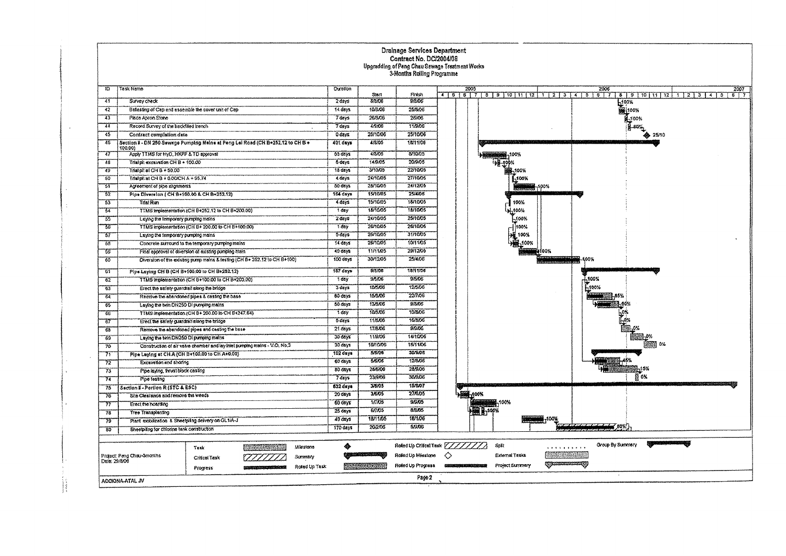| Task Namo<br>TD.<br>Curaton<br>41<br>Survey check<br>$2$ days<br>$\overline{42}$<br>Batasting of Cap and assemble the cover unit of Cap<br>14 days<br>$-13$<br>Place Acron Stone<br>7 days<br>74<br>Record Survey of the backfaed trench<br>7 days |   | Stan<br>8/8/06<br>10/8/06<br>26/8/06<br>4/9/06<br>25/10/06 | Finish<br>9/8/05<br>25/8/06<br>2806 |         | 2005                           |                       |                                | 2006             | 2007<br>4 5 6 7 8 9 10 11 12 1 2 3 4 5 6 7 8 9 10 11 12 1 2 3 4 5<br>577 |
|----------------------------------------------------------------------------------------------------------------------------------------------------------------------------------------------------------------------------------------------------|---|------------------------------------------------------------|-------------------------------------|---------|--------------------------------|-----------------------|--------------------------------|------------------|--------------------------------------------------------------------------|
|                                                                                                                                                                                                                                                    |   |                                                            |                                     |         |                                |                       |                                |                  |                                                                          |
|                                                                                                                                                                                                                                                    |   |                                                            |                                     |         |                                |                       |                                |                  | 100%                                                                     |
|                                                                                                                                                                                                                                                    |   |                                                            |                                     |         |                                |                       |                                |                  | 的100%                                                                    |
|                                                                                                                                                                                                                                                    |   |                                                            |                                     |         |                                |                       |                                |                  | -100%                                                                    |
|                                                                                                                                                                                                                                                    |   |                                                            | 11/9/06                             |         |                                |                       |                                |                  | .eo.                                                                     |
| 45<br>Contract complation data<br>0 days                                                                                                                                                                                                           |   |                                                            | 25/10/06                            |         |                                |                       |                                |                  | ♣ 25/10                                                                  |
| 76<br>Section 8 - DN 250 Sewage Pumping Mains at Peng Lei Road (CR B+252.12 to CR B +<br>401 days<br>100,00)                                                                                                                                       |   | 4/8/05                                                     | 10/11/06                            |         |                                |                       |                                |                  |                                                                          |
| 65 days<br>-47<br>Apply TTMS for HyD, HKPF & TD approval                                                                                                                                                                                           |   | 4/3/05                                                     | 8/10/05                             |         |                                | 100%                  |                                |                  |                                                                          |
| -48<br>Trialpit excavation CHB + 100.00<br>5 days                                                                                                                                                                                                  |   | 14/9/05                                                    | 20/9/05                             |         |                                |                       |                                |                  |                                                                          |
| Trialpit of CH B + 50.00<br>-40<br>18 days                                                                                                                                                                                                         |   | 3/10/05                                                    | 22/10/05                            |         |                                |                       |                                |                  |                                                                          |
| Tristpl: st CH B + 0.00/CH A + 55.74<br>-50<br>4 days                                                                                                                                                                                              |   | 24/10/05                                                   | 27/10/05                            |         |                                | <b>F.100%</b>         |                                |                  |                                                                          |
| 31<br>50 days<br>Agreement of plac alignments                                                                                                                                                                                                      |   | 28/10/05                                                   | 24/1205                             |         |                                | <b>MAN 190%</b>       |                                |                  |                                                                          |
| $\overline{52}$<br>Pipe Diversion ( CH 8+100.00 & CH 8+252.12)<br>164 days                                                                                                                                                                         |   | 15/10/05                                                   | 25/4/06                             |         |                                |                       |                                |                  |                                                                          |
| $\overline{53}$<br><b>Trial Run</b><br>4 days                                                                                                                                                                                                      |   | 15/10/05                                                   | 18/10/05                            |         |                                | 100%                  |                                |                  |                                                                          |
| TTMS implementation (CH B+252.12 to CH B+200.00)<br>1 day<br>$\overline{51}$                                                                                                                                                                       |   | 18/10/05                                                   | 18/10/05                            |         |                                | 400%                  |                                |                  |                                                                          |
| $2$ days<br>55<br>Laying the Temporary pomping mains                                                                                                                                                                                               |   | 24/10/05                                                   | 25/10/05                            |         |                                | .100%                 |                                |                  |                                                                          |
| IJ.<br>TTMS implementation (CH B+ 200.00 to CH B+100.00)<br>1 day                                                                                                                                                                                  |   | 26/10/05                                                   | 26/10/05                            |         |                                | 100%                  |                                |                  |                                                                          |
| 5 days<br>-57<br>Laying the temporary pumping mains                                                                                                                                                                                                |   | 26/10/05                                                   | 31/10/05                            |         |                                | 100%                  |                                |                  |                                                                          |
| 14 days<br>-58<br>Concrete surround to the temporary pumping mains                                                                                                                                                                                 |   | 26/10/05                                                   | 10/11/05                            |         |                                | 100%                  |                                |                  |                                                                          |
| 75<br>40 days<br>Final approval of diversion of existing pumping main                                                                                                                                                                              |   | 11/11/05                                                   | 29/12/05                            |         |                                |                       | 100%                           |                  |                                                                          |
| Diversion of the existing pump mains & festing (CH B+ 252.12 to CH B+100)<br>100 days<br>-60                                                                                                                                                       |   | 30/12/35                                                   | 25/4/08                             |         |                                |                       | <u> 111111111111111122</u><br> | 100%             |                                                                          |
| 167 days:<br>Pipe Laying CH B (CH B+100.00 to CH B+252.12)<br>$\overline{61}$                                                                                                                                                                      |   | 9/5/06                                                     | 18/11/05                            |         |                                |                       |                                |                  |                                                                          |
| T day<br>$\overline{62}$<br>TTMS Implementation (CH B+100.00 to CH B+200.00)                                                                                                                                                                       |   | 9/5/06                                                     | 95.05                               |         |                                |                       |                                | -100%            |                                                                          |
| 3 days<br>-63<br>Erect the safety guardial along the bridge                                                                                                                                                                                        |   | 10/5/08                                                    | 12/5/06                             |         |                                |                       |                                | -100%            |                                                                          |
| 60 days<br>Remove the abandoned pipes & casting the base<br>$\overline{54}$                                                                                                                                                                        |   | 15/5/06                                                    | 22/1/06                             |         |                                |                       |                                |                  |                                                                          |
| 50 days<br>Leving the twin DN250 DI pumping mains<br>65                                                                                                                                                                                            |   | 13/8/06                                                    | 9/8/05                              |         |                                |                       |                                |                  |                                                                          |
| 1 day<br>TTMS implementation (CH B+ 200.00 to CH B+247.64)<br>रह                                                                                                                                                                                   |   | 10/3/06                                                    | 10/3/06                             |         |                                |                       |                                |                  |                                                                          |
| 5 days<br>-67<br>Erect the safety guardralialong the bridge                                                                                                                                                                                        |   | 11/8/06                                                    | 16/8/06                             |         |                                |                       |                                |                  |                                                                          |
| 21 days<br>Remove the abandoned pipes and casting the base<br>68                                                                                                                                                                                   |   | 17/8/06                                                    | 9/9/06                              |         |                                |                       |                                |                  |                                                                          |
| 30 days<br>Laying the Nin DN250 Di pumping mains<br>69                                                                                                                                                                                             |   | 11/0/06                                                    | 14/10/06                            |         |                                |                       |                                |                  |                                                                          |
| 30 days<br>Construction of air valve chamber and lay intel pumping mains - V.O. No.3<br>$\overline{70}$                                                                                                                                            |   | 16/10/06                                                   | 18/11/06                            |         |                                |                       |                                |                  |                                                                          |
| 102 days<br>Pipe Laying at CHA (CH B+100.00 to CH A+0.00)<br>71                                                                                                                                                                                    |   | 5/0/05                                                     | 30/9/05                             |         |                                |                       |                                |                  |                                                                          |
| $60 \frac{day}{3}$<br>72<br>Excavation and shoring                                                                                                                                                                                                 |   | 5/6/05                                                     | 12/8/06                             |         |                                |                       |                                |                  |                                                                          |
| 80 days<br>Pipe laying, trust block casting<br>73                                                                                                                                                                                                  |   | 28/6/06                                                    | 28/9/06                             |         |                                |                       |                                |                  |                                                                          |
| $7 \overline{days}$<br>Pipe lesting<br>74                                                                                                                                                                                                          |   | 23/9/06                                                    | 309.06                              |         |                                |                       |                                |                  | 64                                                                       |
| 632 days<br>Saction I - Portion R (STC & ESC)<br>75                                                                                                                                                                                                |   | 3/6/05                                                     | 15/6/07                             |         |                                |                       |                                |                  |                                                                          |
| $20$ days<br>Site Clearance and remove the weeds<br>76                                                                                                                                                                                             |   | 3/6/05                                                     | 27/605                              |         | -100%<br><del>ka maran</del> a |                       |                                |                  |                                                                          |
| $60 \text{ days}$<br>77<br>Erect the hearding                                                                                                                                                                                                      |   | 17705                                                      | 9.9.05<br>8.8/05                    |         |                                |                       |                                |                  |                                                                          |
| $25 \text{ days}$<br>78<br><b>Tree Transplenting</b>                                                                                                                                                                                               |   | 5/7/05                                                     |                                     |         |                                | ,,,,,,,,,,,           |                                |                  |                                                                          |
| 49 days<br>Plant mobilization & Sheetpling delivery on GL1/A-J<br>75                                                                                                                                                                               |   | 18/11/05                                                   | 18/106<br>5/5/06                    |         |                                |                       | -100%                          | $\equiv$ 80%     |                                                                          |
| 170 days<br>Sheetpiing for chiorine tank construction<br>85                                                                                                                                                                                        |   | 20/2/06                                                    |                                     |         |                                |                       |                                |                  |                                                                          |
| <u>uman ya</u><br>Milestone<br>Task                                                                                                                                                                                                                | ۰ |                                                            | Rošed Up Crifcal Tusk               | 7777777 |                                | Spit                  | . <i>. .</i>                   | Group By Summary |                                                                          |
| Project: Peng Chau-3monins<br>Summary<br>Critical Task                                                                                                                                                                                             |   |                                                            | Roled Up Milestone                  | ◇       |                                | <b>External Tacks</b> |                                |                  |                                                                          |
| Date: 23/8/06<br>Roted Up Task<br><b>Biological Engineering Control</b><br>Progress                                                                                                                                                                |   | 23. STATISTIKA                                             | Roted Up Progress                   |         |                                | Project Summary       | QPIRAMARA QI                   |                  |                                                                          |
| ACCIONA ATAL JV                                                                                                                                                                                                                                    |   |                                                            | Page 2                              |         |                                |                       |                                |                  |                                                                          |

 $\sim$